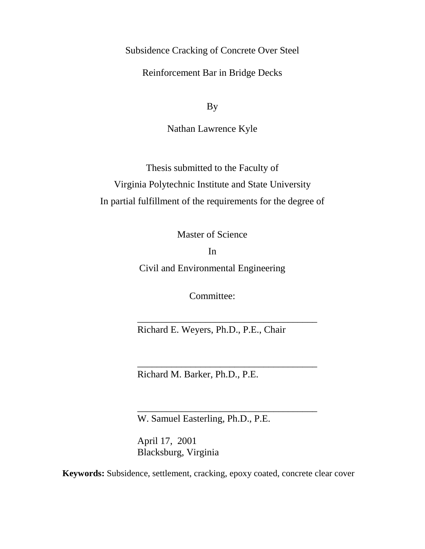Subsidence Cracking of Concrete Over Steel

Reinforcement Bar in Bridge Decks

By

Nathan Lawrence Kyle

Thesis submitted to the Faculty of Virginia Polytechnic Institute and State University In partial fulfillment of the requirements for the degree of

Master of Science

In

Civil and Environmental Engineering

Committee:

Richard E. Weyers, Ph.D., P.E., Chair

\_\_\_\_\_\_\_\_\_\_\_\_\_\_\_\_\_\_\_\_\_\_\_\_\_\_\_\_\_\_\_\_\_\_\_\_\_

\_\_\_\_\_\_\_\_\_\_\_\_\_\_\_\_\_\_\_\_\_\_\_\_\_\_\_\_\_\_\_\_\_\_\_\_\_

\_\_\_\_\_\_\_\_\_\_\_\_\_\_\_\_\_\_\_\_\_\_\_\_\_\_\_\_\_\_\_\_\_\_\_\_\_

Richard M. Barker, Ph.D., P.E.

W. Samuel Easterling, Ph.D., P.E.

April 17, 2001 Blacksburg, Virginia

**Keywords:** Subsidence, settlement, cracking, epoxy coated, concrete clear cover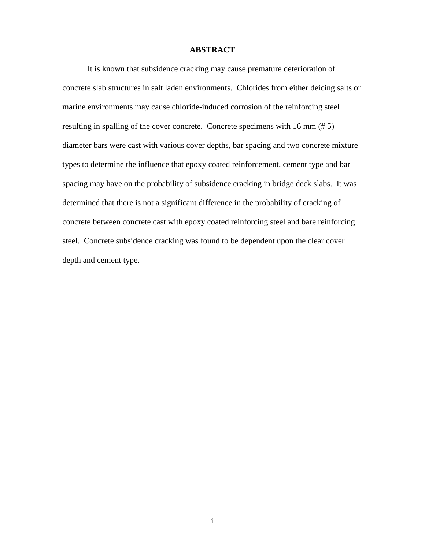### **ABSTRACT**

 It is known that subsidence cracking may cause premature deterioration of concrete slab structures in salt laden environments. Chlorides from either deicing salts or marine environments may cause chloride-induced corrosion of the reinforcing steel resulting in spalling of the cover concrete. Concrete specimens with 16 mm (# 5) diameter bars were cast with various cover depths, bar spacing and two concrete mixture types to determine the influence that epoxy coated reinforcement, cement type and bar spacing may have on the probability of subsidence cracking in bridge deck slabs. It was determined that there is not a significant difference in the probability of cracking of concrete between concrete cast with epoxy coated reinforcing steel and bare reinforcing steel. Concrete subsidence cracking was found to be dependent upon the clear cover depth and cement type.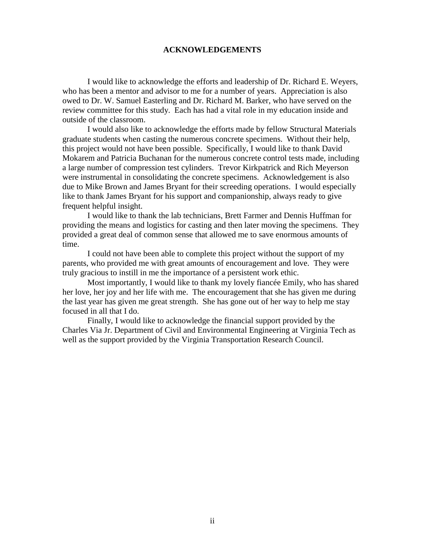### **ACKNOWLEDGEMENTS**

I would like to acknowledge the efforts and leadership of Dr. Richard E. Weyers, who has been a mentor and advisor to me for a number of years. Appreciation is also owed to Dr. W. Samuel Easterling and Dr. Richard M. Barker, who have served on the review committee for this study. Each has had a vital role in my education inside and outside of the classroom.

I would also like to acknowledge the efforts made by fellow Structural Materials graduate students when casting the numerous concrete specimens. Without their help, this project would not have been possible. Specifically, I would like to thank David Mokarem and Patricia Buchanan for the numerous concrete control tests made, including a large number of compression test cylinders. Trevor Kirkpatrick and Rich Meyerson were instrumental in consolidating the concrete specimens. Acknowledgement is also due to Mike Brown and James Bryant for their screeding operations. I would especially like to thank James Bryant for his support and companionship, always ready to give frequent helpful insight.

I would like to thank the lab technicians, Brett Farmer and Dennis Huffman for providing the means and logistics for casting and then later moving the specimens. They provided a great deal of common sense that allowed me to save enormous amounts of time.

 I could not have been able to complete this project without the support of my parents, who provided me with great amounts of encouragement and love. They were truly gracious to instill in me the importance of a persistent work ethic.

 Most importantly, I would like to thank my lovely fiancée Emily, who has shared her love, her joy and her life with me. The encouragement that she has given me during the last year has given me great strength. She has gone out of her way to help me stay focused in all that I do.

 Finally, I would like to acknowledge the financial support provided by the Charles Via Jr. Department of Civil and Environmental Engineering at Virginia Tech as well as the support provided by the Virginia Transportation Research Council.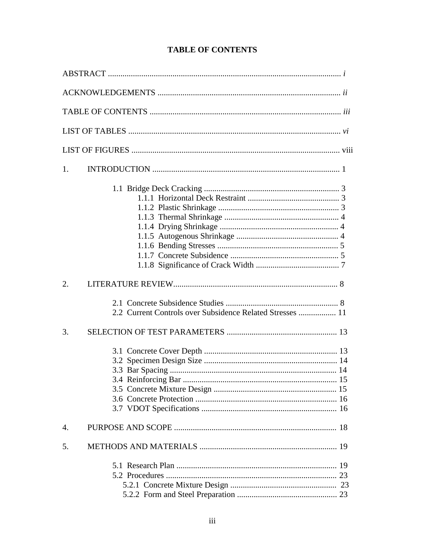| 1.                                                        |  |
|-----------------------------------------------------------|--|
|                                                           |  |
| 2.                                                        |  |
| 2.2 Current Controls over Subsidence Related Stresses  11 |  |
| 3.                                                        |  |
|                                                           |  |
| $\overline{4}$ .                                          |  |
| 5.                                                        |  |
|                                                           |  |

## **TABLE OF CONTENTS**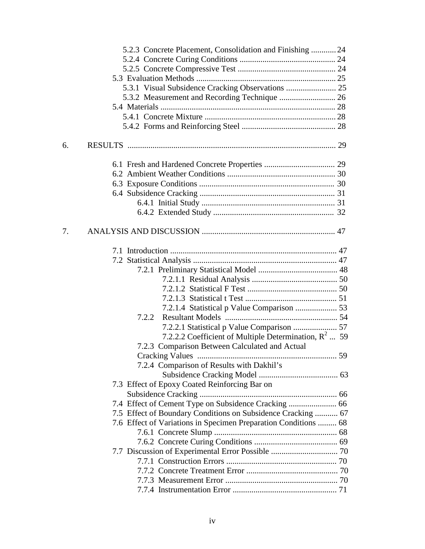|    | 5.2.3 Concrete Placement, Consolidation and Finishing  24       |  |
|----|-----------------------------------------------------------------|--|
|    |                                                                 |  |
|    |                                                                 |  |
|    |                                                                 |  |
|    | 5.3.1 Visual Subsidence Cracking Observations  25               |  |
|    |                                                                 |  |
|    |                                                                 |  |
|    |                                                                 |  |
|    |                                                                 |  |
| 6. |                                                                 |  |
|    |                                                                 |  |
|    |                                                                 |  |
|    |                                                                 |  |
|    |                                                                 |  |
|    |                                                                 |  |
|    |                                                                 |  |
|    |                                                                 |  |
| 7. |                                                                 |  |
|    |                                                                 |  |
|    |                                                                 |  |
|    |                                                                 |  |
|    |                                                                 |  |
|    |                                                                 |  |
|    |                                                                 |  |
|    |                                                                 |  |
|    | 7.2.2                                                           |  |
|    |                                                                 |  |
|    | 7.2.2.2 Coefficient of Multiple Determination, $R^2$ 59         |  |
|    | 7.2.3 Comparison Between Calculated and Actual                  |  |
|    |                                                                 |  |
|    | 7.2.4 Comparison of Results with Dakhil's                       |  |
|    |                                                                 |  |
|    | 7.3 Effect of Epoxy Coated Reinforcing Bar on                   |  |
|    |                                                                 |  |
|    |                                                                 |  |
|    | 7.5 Effect of Boundary Conditions on Subsidence Cracking  67    |  |
|    | 7.6 Effect of Variations in Specimen Preparation Conditions  68 |  |
|    |                                                                 |  |
|    |                                                                 |  |
|    | 7.7 Discussion of Experimental Error Possible  70               |  |
|    |                                                                 |  |
|    |                                                                 |  |
|    |                                                                 |  |
|    |                                                                 |  |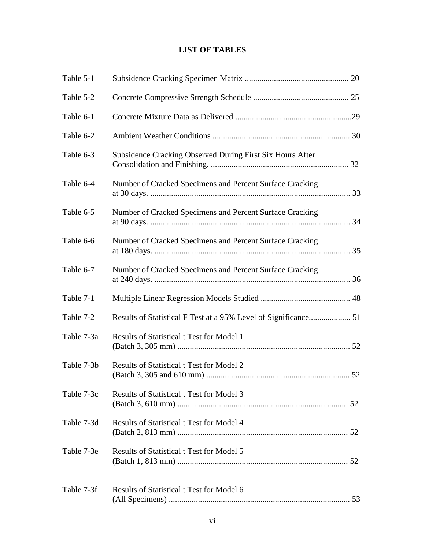# **LIST OF TABLES**

| Table 5-1  |                                                           |  |
|------------|-----------------------------------------------------------|--|
| Table 5-2  |                                                           |  |
| Table 6-1  |                                                           |  |
| Table 6-2  |                                                           |  |
| Table 6-3  | Subsidence Cracking Observed During First Six Hours After |  |
| Table 6-4  | Number of Cracked Specimens and Percent Surface Cracking  |  |
| Table 6-5  | Number of Cracked Specimens and Percent Surface Cracking  |  |
| Table 6-6  | Number of Cracked Specimens and Percent Surface Cracking  |  |
| Table 6-7  | Number of Cracked Specimens and Percent Surface Cracking  |  |
| Table 7-1  |                                                           |  |
| Table 7-2  |                                                           |  |
| Table 7-3a | <b>Results of Statistical t Test for Model 1</b>          |  |
| Table 7-3b | <b>Results of Statistical t Test for Model 2</b>          |  |
| Table 7-3c | <b>Results of Statistical t Test for Model 3</b>          |  |
| Table 7-3d | <b>Results of Statistical t Test for Model 4</b>          |  |
| Table 7-3e | <b>Results of Statistical t Test for Model 5</b>          |  |
| Table 7-3f | Results of Statistical t Test for Model 6                 |  |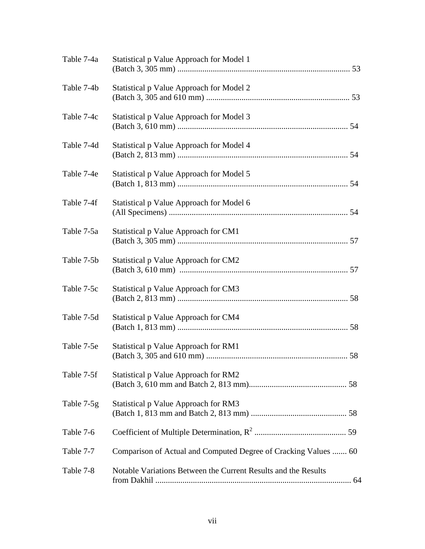| Table 7-4a | Statistical p Value Approach for Model 1                        |
|------------|-----------------------------------------------------------------|
| Table 7-4b | Statistical p Value Approach for Model 2                        |
| Table 7-4c | Statistical p Value Approach for Model 3                        |
| Table 7-4d | Statistical p Value Approach for Model 4                        |
| Table 7-4e | Statistical p Value Approach for Model 5                        |
| Table 7-4f | Statistical p Value Approach for Model 6                        |
| Table 7-5a | Statistical p Value Approach for CM1                            |
| Table 7-5b | Statistical p Value Approach for CM2                            |
| Table 7-5c | Statistical p Value Approach for CM3                            |
| Table 7-5d | Statistical p Value Approach for CM4                            |
| Table 7-5e | Statistical p Value Approach for RM1                            |
| Table 7-5f | Statistical p Value Approach for RM2                            |
| Table 7-5g | Statistical p Value Approach for RM3                            |
| Table 7-6  |                                                                 |
| Table 7-7  | Comparison of Actual and Computed Degree of Cracking Values  60 |
| Table 7-8  | Notable Variations Between the Current Results and the Results  |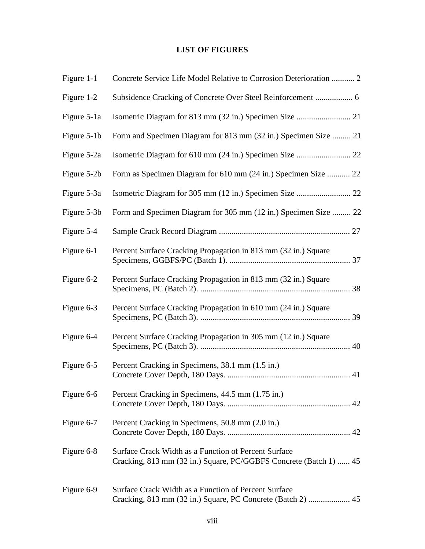## **LIST OF FIGURES**

| Figure 1-1  | Concrete Service Life Model Relative to Corrosion Deterioration  2                                                        |
|-------------|---------------------------------------------------------------------------------------------------------------------------|
| Figure 1-2  |                                                                                                                           |
| Figure 5-1a |                                                                                                                           |
| Figure 5-1b | Form and Specimen Diagram for 813 mm (32 in.) Specimen Size  21                                                           |
| Figure 5-2a |                                                                                                                           |
| Figure 5-2b | Form as Specimen Diagram for 610 mm (24 in.) Specimen Size  22                                                            |
| Figure 5-3a |                                                                                                                           |
| Figure 5-3b | Form and Specimen Diagram for 305 mm (12 in.) Specimen Size  22                                                           |
| Figure 5-4  |                                                                                                                           |
| Figure 6-1  | Percent Surface Cracking Propagation in 813 mm (32 in.) Square                                                            |
| Figure 6-2  | Percent Surface Cracking Propagation in 813 mm (32 in.) Square                                                            |
| Figure 6-3  | Percent Surface Cracking Propagation in 610 mm (24 in.) Square                                                            |
| Figure 6-4  | Percent Surface Cracking Propagation in 305 mm (12 in.) Square                                                            |
| Figure 6-5  | Percent Cracking in Specimens, 38.1 mm (1.5 in.)                                                                          |
| Figure 6-6  | Percent Cracking in Specimens, 44.5 mm (1.75 in.)                                                                         |
| Figure 6-7  | Percent Cracking in Specimens, 50.8 mm (2.0 in.)                                                                          |
| Figure 6-8  | Surface Crack Width as a Function of Percent Surface<br>Cracking, 813 mm (32 in.) Square, PC/GGBFS Concrete (Batch 1)  45 |
| Figure 6-9  | Surface Crack Width as a Function of Percent Surface                                                                      |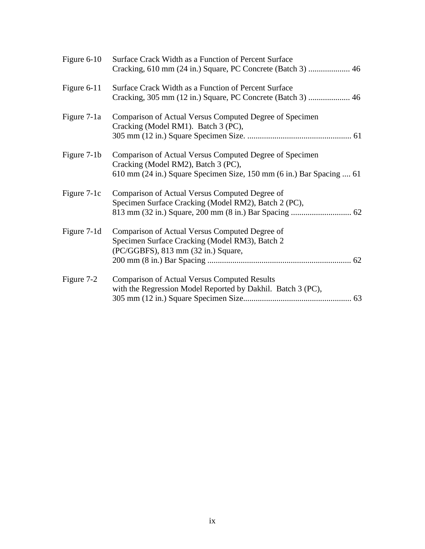| Figure $6-10$ | Surface Crack Width as a Function of Percent Surface                                                                                                                   |
|---------------|------------------------------------------------------------------------------------------------------------------------------------------------------------------------|
| Figure 6-11   | Surface Crack Width as a Function of Percent Surface                                                                                                                   |
| Figure 7-1a   | Comparison of Actual Versus Computed Degree of Specimen<br>Cracking (Model RM1). Batch 3 (PC),                                                                         |
| Figure 7-1b   | Comparison of Actual Versus Computed Degree of Specimen<br>Cracking (Model RM2), Batch 3 (PC),<br>610 mm (24 in.) Square Specimen Size, 150 mm (6 in.) Bar Spacing  61 |
| Figure 7-1c   | Comparison of Actual Versus Computed Degree of<br>Specimen Surface Cracking (Model RM2), Batch 2 (PC),                                                                 |
| Figure 7-1d   | Comparison of Actual Versus Computed Degree of<br>Specimen Surface Cracking (Model RM3), Batch 2<br>(PC/GGBFS), 813 mm (32 in.) Square,                                |
| Figure 7-2    | <b>Comparison of Actual Versus Computed Results</b><br>with the Regression Model Reported by Dakhil. Batch 3 (PC),                                                     |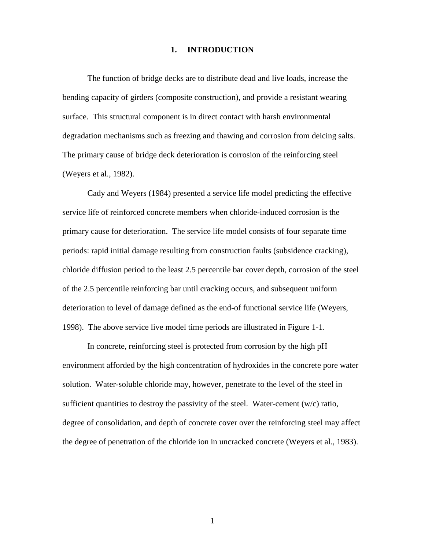### **1. INTRODUCTION**

The function of bridge decks are to distribute dead and live loads, increase the bending capacity of girders (composite construction), and provide a resistant wearing surface. This structural component is in direct contact with harsh environmental degradation mechanisms such as freezing and thawing and corrosion from deicing salts. The primary cause of bridge deck deterioration is corrosion of the reinforcing steel (Weyers et al., 1982).

Cady and Weyers (1984) presented a service life model predicting the effective service life of reinforced concrete members when chloride-induced corrosion is the primary cause for deterioration. The service life model consists of four separate time periods: rapid initial damage resulting from construction faults (subsidence cracking), chloride diffusion period to the least 2.5 percentile bar cover depth, corrosion of the steel of the 2.5 percentile reinforcing bar until cracking occurs, and subsequent uniform deterioration to level of damage defined as the end-of functional service life (Weyers, 1998). The above service live model time periods are illustrated in Figure 1-1.

In concrete, reinforcing steel is protected from corrosion by the high pH environment afforded by the high concentration of hydroxides in the concrete pore water solution. Water-soluble chloride may, however, penetrate to the level of the steel in sufficient quantities to destroy the passivity of the steel. Water-cement  $(w/c)$  ratio, degree of consolidation, and depth of concrete cover over the reinforcing steel may affect the degree of penetration of the chloride ion in uncracked concrete (Weyers et al., 1983).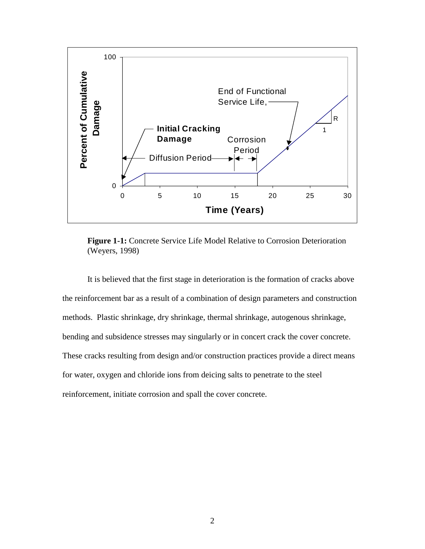

**Figure 1-1:** Concrete Service Life Model Relative to Corrosion Deterioration (Weyers, 1998)

It is believed that the first stage in deterioration is the formation of cracks above the reinforcement bar as a result of a combination of design parameters and construction methods. Plastic shrinkage, dry shrinkage, thermal shrinkage, autogenous shrinkage, bending and subsidence stresses may singularly or in concert crack the cover concrete. These cracks resulting from design and/or construction practices provide a direct means for water, oxygen and chloride ions from deicing salts to penetrate to the steel reinforcement, initiate corrosion and spall the cover concrete.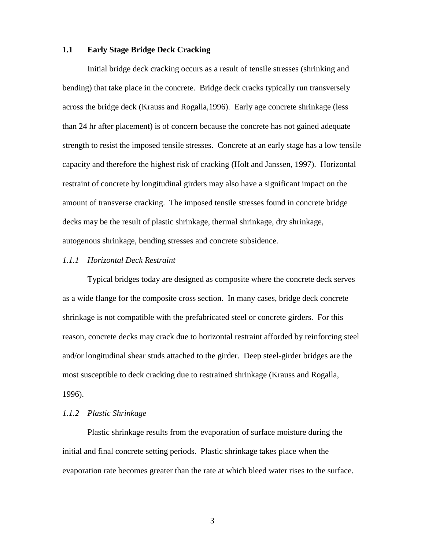### **1.1 Early Stage Bridge Deck Cracking**

Initial bridge deck cracking occurs as a result of tensile stresses (shrinking and bending) that take place in the concrete. Bridge deck cracks typically run transversely across the bridge deck (Krauss and Rogalla,1996). Early age concrete shrinkage (less than 24 hr after placement) is of concern because the concrete has not gained adequate strength to resist the imposed tensile stresses. Concrete at an early stage has a low tensile capacity and therefore the highest risk of cracking (Holt and Janssen, 1997). Horizontal restraint of concrete by longitudinal girders may also have a significant impact on the amount of transverse cracking. The imposed tensile stresses found in concrete bridge decks may be the result of plastic shrinkage, thermal shrinkage, dry shrinkage, autogenous shrinkage, bending stresses and concrete subsidence.

### *1.1.1 Horizontal Deck Restraint*

 Typical bridges today are designed as composite where the concrete deck serves as a wide flange for the composite cross section. In many cases, bridge deck concrete shrinkage is not compatible with the prefabricated steel or concrete girders. For this reason, concrete decks may crack due to horizontal restraint afforded by reinforcing steel and/or longitudinal shear studs attached to the girder. Deep steel-girder bridges are the most susceptible to deck cracking due to restrained shrinkage (Krauss and Rogalla, 1996).

### *1.1.2 Plastic Shrinkage*

Plastic shrinkage results from the evaporation of surface moisture during the initial and final concrete setting periods. Plastic shrinkage takes place when the evaporation rate becomes greater than the rate at which bleed water rises to the surface.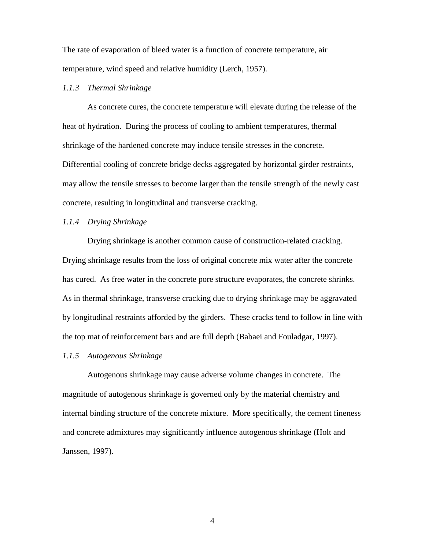The rate of evaporation of bleed water is a function of concrete temperature, air temperature, wind speed and relative humidity (Lerch, 1957).

### *1.1.3 Thermal Shrinkage*

As concrete cures, the concrete temperature will elevate during the release of the heat of hydration. During the process of cooling to ambient temperatures, thermal shrinkage of the hardened concrete may induce tensile stresses in the concrete. Differential cooling of concrete bridge decks aggregated by horizontal girder restraints, may allow the tensile stresses to become larger than the tensile strength of the newly cast concrete, resulting in longitudinal and transverse cracking.

### *1.1.4 Drying Shrinkage*

Drying shrinkage is another common cause of construction-related cracking. Drying shrinkage results from the loss of original concrete mix water after the concrete has cured. As free water in the concrete pore structure evaporates, the concrete shrinks. As in thermal shrinkage, transverse cracking due to drying shrinkage may be aggravated by longitudinal restraints afforded by the girders. These cracks tend to follow in line with the top mat of reinforcement bars and are full depth (Babaei and Fouladgar, 1997).

### *1.1.5 Autogenous Shrinkage*

Autogenous shrinkage may cause adverse volume changes in concrete. The magnitude of autogenous shrinkage is governed only by the material chemistry and internal binding structure of the concrete mixture. More specifically, the cement fineness and concrete admixtures may significantly influence autogenous shrinkage (Holt and Janssen, 1997).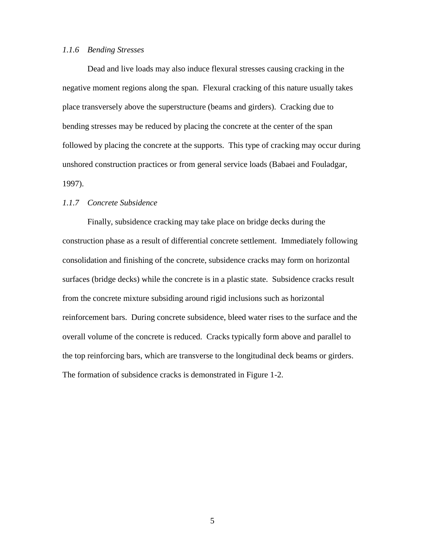### *1.1.6 Bending Stresses*

Dead and live loads may also induce flexural stresses causing cracking in the negative moment regions along the span. Flexural cracking of this nature usually takes place transversely above the superstructure (beams and girders). Cracking due to bending stresses may be reduced by placing the concrete at the center of the span followed by placing the concrete at the supports. This type of cracking may occur during unshored construction practices or from general service loads (Babaei and Fouladgar, 1997).

### *1.1.7 Concrete Subsidence*

Finally, subsidence cracking may take place on bridge decks during the construction phase as a result of differential concrete settlement. Immediately following consolidation and finishing of the concrete, subsidence cracks may form on horizontal surfaces (bridge decks) while the concrete is in a plastic state. Subsidence cracks result from the concrete mixture subsiding around rigid inclusions such as horizontal reinforcement bars. During concrete subsidence, bleed water rises to the surface and the overall volume of the concrete is reduced. Cracks typically form above and parallel to the top reinforcing bars, which are transverse to the longitudinal deck beams or girders. The formation of subsidence cracks is demonstrated in Figure 1-2.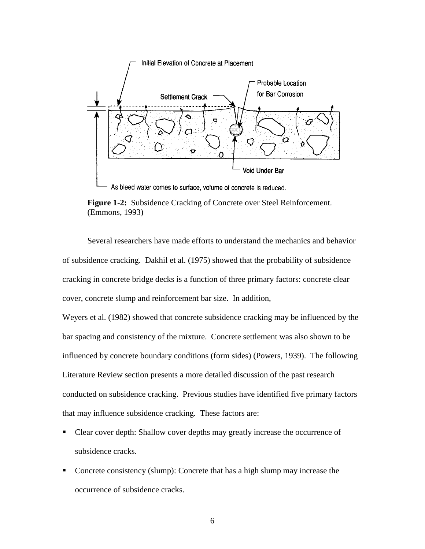

As bleed water comes to surface, volume of concrete is reduced.



Several researchers have made efforts to understand the mechanics and behavior of subsidence cracking. Dakhil et al. (1975) showed that the probability of subsidence cracking in concrete bridge decks is a function of three primary factors: concrete clear cover, concrete slump and reinforcement bar size. In addition,

Weyers et al. (1982) showed that concrete subsidence cracking may be influenced by the bar spacing and consistency of the mixture. Concrete settlement was also shown to be influenced by concrete boundary conditions (form sides) (Powers, 1939). The following Literature Review section presents a more detailed discussion of the past research conducted on subsidence cracking. Previous studies have identified five primary factors that may influence subsidence cracking. These factors are:

- ! Clear cover depth: Shallow cover depths may greatly increase the occurrence of subsidence cracks.
- ! Concrete consistency (slump): Concrete that has a high slump may increase the occurrence of subsidence cracks.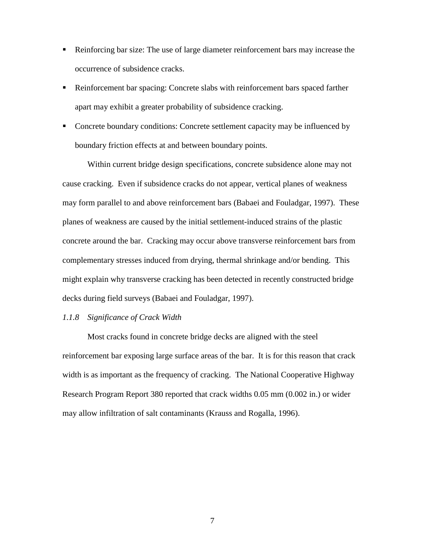- ! Reinforcing bar size: The use of large diameter reinforcement bars may increase the occurrence of subsidence cracks.
- ! Reinforcement bar spacing: Concrete slabs with reinforcement bars spaced farther apart may exhibit a greater probability of subsidence cracking.
- ! Concrete boundary conditions: Concrete settlement capacity may be influenced by boundary friction effects at and between boundary points.

Within current bridge design specifications, concrete subsidence alone may not cause cracking. Even if subsidence cracks do not appear, vertical planes of weakness may form parallel to and above reinforcement bars (Babaei and Fouladgar, 1997). These planes of weakness are caused by the initial settlement-induced strains of the plastic concrete around the bar. Cracking may occur above transverse reinforcement bars from complementary stresses induced from drying, thermal shrinkage and/or bending. This might explain why transverse cracking has been detected in recently constructed bridge decks during field surveys (Babaei and Fouladgar, 1997).

## *1.1.8 Significance of Crack Width*

 Most cracks found in concrete bridge decks are aligned with the steel reinforcement bar exposing large surface areas of the bar. It is for this reason that crack width is as important as the frequency of cracking. The National Cooperative Highway Research Program Report 380 reported that crack widths 0.05 mm (0.002 in.) or wider may allow infiltration of salt contaminants (Krauss and Rogalla, 1996).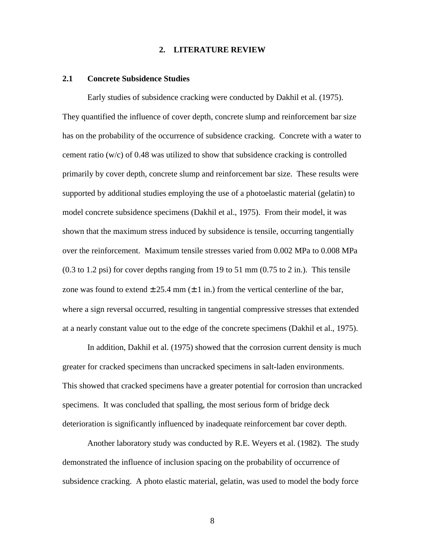### **2. LITERATURE REVIEW**

### **2.1 Concrete Subsidence Studies**

 Early studies of subsidence cracking were conducted by Dakhil et al. (1975). They quantified the influence of cover depth, concrete slump and reinforcement bar size has on the probability of the occurrence of subsidence cracking. Concrete with a water to cement ratio (w/c) of 0.48 was utilized to show that subsidence cracking is controlled primarily by cover depth, concrete slump and reinforcement bar size. These results were supported by additional studies employing the use of a photoelastic material (gelatin) to model concrete subsidence specimens (Dakhil et al., 1975). From their model, it was shown that the maximum stress induced by subsidence is tensile, occurring tangentially over the reinforcement. Maximum tensile stresses varied from 0.002 MPa to 0.008 MPa (0.3 to 1.2 psi) for cover depths ranging from 19 to 51 mm (0.75 to 2 in.). This tensile zone was found to extend  $\pm 25.4$  mm ( $\pm 1$  in.) from the vertical centerline of the bar, where a sign reversal occurred, resulting in tangential compressive stresses that extended at a nearly constant value out to the edge of the concrete specimens (Dakhil et al., 1975).

In addition, Dakhil et al. (1975) showed that the corrosion current density is much greater for cracked specimens than uncracked specimens in salt-laden environments. This showed that cracked specimens have a greater potential for corrosion than uncracked specimens. It was concluded that spalling, the most serious form of bridge deck deterioration is significantly influenced by inadequate reinforcement bar cover depth.

 Another laboratory study was conducted by R.E. Weyers et al. (1982). The study demonstrated the influence of inclusion spacing on the probability of occurrence of subsidence cracking. A photo elastic material, gelatin, was used to model the body force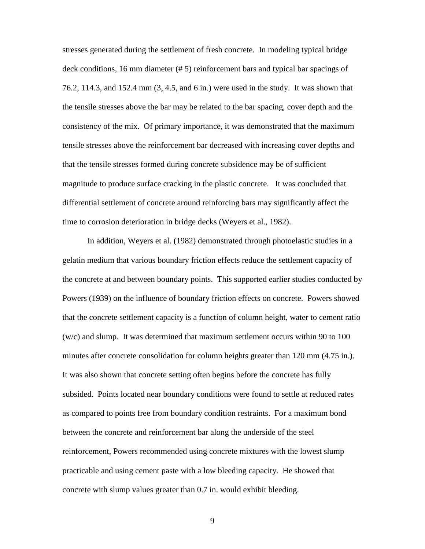stresses generated during the settlement of fresh concrete. In modeling typical bridge deck conditions, 16 mm diameter (# 5) reinforcement bars and typical bar spacings of 76.2, 114.3, and 152.4 mm (3, 4.5, and 6 in.) were used in the study. It was shown that the tensile stresses above the bar may be related to the bar spacing, cover depth and the consistency of the mix. Of primary importance, it was demonstrated that the maximum tensile stresses above the reinforcement bar decreased with increasing cover depths and that the tensile stresses formed during concrete subsidence may be of sufficient magnitude to produce surface cracking in the plastic concrete. It was concluded that differential settlement of concrete around reinforcing bars may significantly affect the time to corrosion deterioration in bridge decks (Weyers et al., 1982).

 In addition, Weyers et al. (1982) demonstrated through photoelastic studies in a gelatin medium that various boundary friction effects reduce the settlement capacity of the concrete at and between boundary points. This supported earlier studies conducted by Powers (1939) on the influence of boundary friction effects on concrete. Powers showed that the concrete settlement capacity is a function of column height, water to cement ratio (w/c) and slump. It was determined that maximum settlement occurs within 90 to 100 minutes after concrete consolidation for column heights greater than 120 mm (4.75 in.). It was also shown that concrete setting often begins before the concrete has fully subsided. Points located near boundary conditions were found to settle at reduced rates as compared to points free from boundary condition restraints. For a maximum bond between the concrete and reinforcement bar along the underside of the steel reinforcement, Powers recommended using concrete mixtures with the lowest slump practicable and using cement paste with a low bleeding capacity. He showed that concrete with slump values greater than 0.7 in. would exhibit bleeding.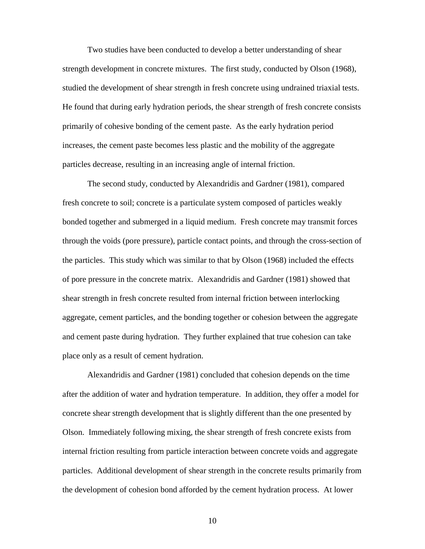Two studies have been conducted to develop a better understanding of shear strength development in concrete mixtures. The first study, conducted by Olson (1968), studied the development of shear strength in fresh concrete using undrained triaxial tests. He found that during early hydration periods, the shear strength of fresh concrete consists primarily of cohesive bonding of the cement paste. As the early hydration period increases, the cement paste becomes less plastic and the mobility of the aggregate particles decrease, resulting in an increasing angle of internal friction.

The second study, conducted by Alexandridis and Gardner (1981), compared fresh concrete to soil; concrete is a particulate system composed of particles weakly bonded together and submerged in a liquid medium. Fresh concrete may transmit forces through the voids (pore pressure), particle contact points, and through the cross-section of the particles. This study which was similar to that by Olson (1968) included the effects of pore pressure in the concrete matrix. Alexandridis and Gardner (1981) showed that shear strength in fresh concrete resulted from internal friction between interlocking aggregate, cement particles, and the bonding together or cohesion between the aggregate and cement paste during hydration. They further explained that true cohesion can take place only as a result of cement hydration.

Alexandridis and Gardner (1981) concluded that cohesion depends on the time after the addition of water and hydration temperature. In addition, they offer a model for concrete shear strength development that is slightly different than the one presented by Olson. Immediately following mixing, the shear strength of fresh concrete exists from internal friction resulting from particle interaction between concrete voids and aggregate particles. Additional development of shear strength in the concrete results primarily from the development of cohesion bond afforded by the cement hydration process. At lower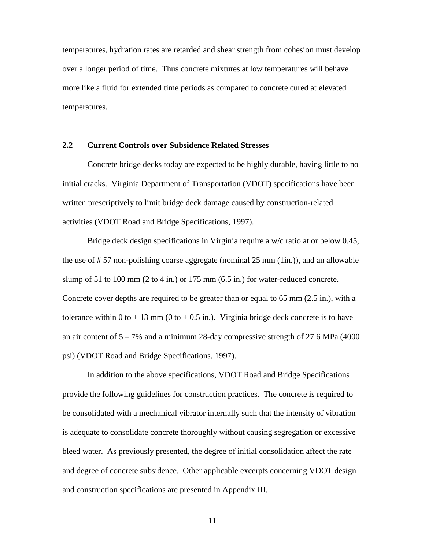temperatures, hydration rates are retarded and shear strength from cohesion must develop over a longer period of time. Thus concrete mixtures at low temperatures will behave more like a fluid for extended time periods as compared to concrete cured at elevated temperatures.

### **2.2 Current Controls over Subsidence Related Stresses**

Concrete bridge decks today are expected to be highly durable, having little to no initial cracks. Virginia Department of Transportation (VDOT) specifications have been written prescriptively to limit bridge deck damage caused by construction-related activities (VDOT Road and Bridge Specifications, 1997).

Bridge deck design specifications in Virginia require a w/c ratio at or below 0.45, the use of # 57 non-polishing coarse aggregate (nominal 25 mm (1in.)), and an allowable slump of 51 to 100 mm  $(2 \text{ to } 4 \text{ in.})$  or 175 mm  $(6.5 \text{ in.})$  for water-reduced concrete. Concrete cover depths are required to be greater than or equal to 65 mm (2.5 in.), with a tolerance within 0 to  $+ 13$  mm (0 to  $+ 0.5$  in.). Virginia bridge deck concrete is to have an air content of  $5 - 7\%$  and a minimum 28-day compressive strength of 27.6 MPa (4000) psi) (VDOT Road and Bridge Specifications, 1997).

In addition to the above specifications, VDOT Road and Bridge Specifications provide the following guidelines for construction practices. The concrete is required to be consolidated with a mechanical vibrator internally such that the intensity of vibration is adequate to consolidate concrete thoroughly without causing segregation or excessive bleed water. As previously presented, the degree of initial consolidation affect the rate and degree of concrete subsidence. Other applicable excerpts concerning VDOT design and construction specifications are presented in Appendix III.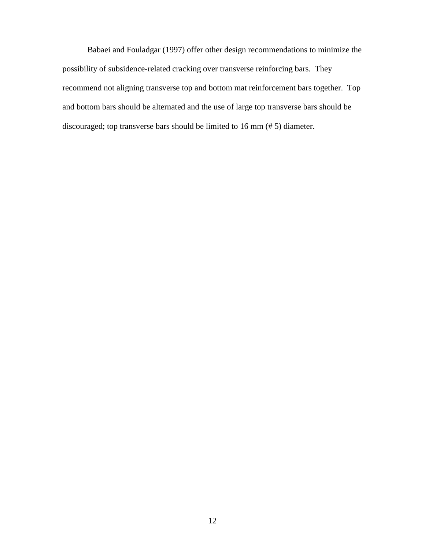Babaei and Fouladgar (1997) offer other design recommendations to minimize the possibility of subsidence-related cracking over transverse reinforcing bars. They recommend not aligning transverse top and bottom mat reinforcement bars together. Top and bottom bars should be alternated and the use of large top transverse bars should be discouraged; top transverse bars should be limited to 16 mm (# 5) diameter.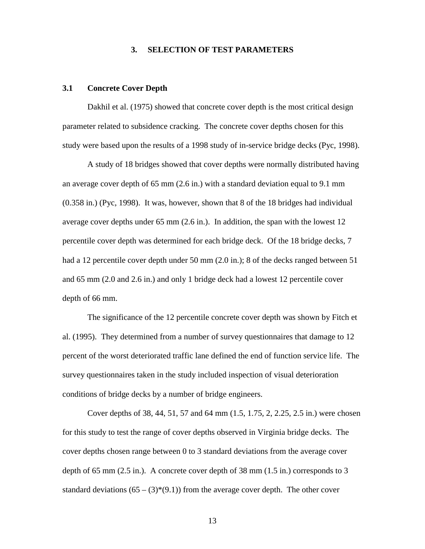#### **3. SELECTION OF TEST PARAMETERS**

#### **3.1 Concrete Cover Depth**

Dakhil et al. (1975) showed that concrete cover depth is the most critical design parameter related to subsidence cracking. The concrete cover depths chosen for this study were based upon the results of a 1998 study of in-service bridge decks (Pyc, 1998).

A study of 18 bridges showed that cover depths were normally distributed having an average cover depth of 65 mm (2.6 in.) with a standard deviation equal to 9.1 mm (0.358 in.) (Pyc, 1998). It was, however, shown that 8 of the 18 bridges had individual average cover depths under 65 mm (2.6 in.). In addition, the span with the lowest 12 percentile cover depth was determined for each bridge deck. Of the 18 bridge decks, 7 had a 12 percentile cover depth under 50 mm (2.0 in.); 8 of the decks ranged between 51 and 65 mm (2.0 and 2.6 in.) and only 1 bridge deck had a lowest 12 percentile cover depth of 66 mm.

The significance of the 12 percentile concrete cover depth was shown by Fitch et al. (1995). They determined from a number of survey questionnaires that damage to 12 percent of the worst deteriorated traffic lane defined the end of function service life. The survey questionnaires taken in the study included inspection of visual deterioration conditions of bridge decks by a number of bridge engineers.

Cover depths of 38, 44, 51, 57 and 64 mm (1.5, 1.75, 2, 2.25, 2.5 in.) were chosen for this study to test the range of cover depths observed in Virginia bridge decks. The cover depths chosen range between 0 to 3 standard deviations from the average cover depth of 65 mm (2.5 in.). A concrete cover depth of 38 mm (1.5 in.) corresponds to 3 standard deviations  $(65 - (3)*(9.1))$  from the average cover depth. The other cover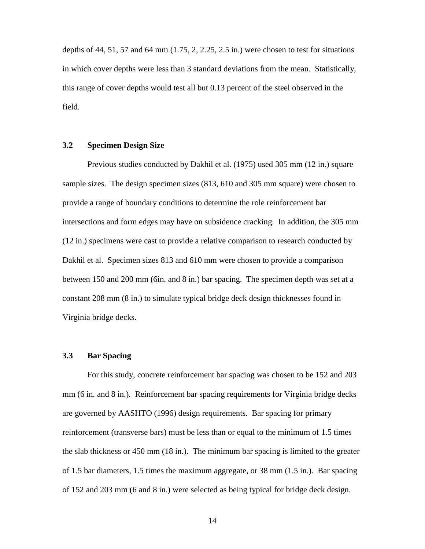depths of 44, 51, 57 and 64 mm (1.75, 2, 2.25, 2.5 in.) were chosen to test for situations in which cover depths were less than 3 standard deviations from the mean. Statistically, this range of cover depths would test all but 0.13 percent of the steel observed in the field.

### **3.2 Specimen Design Size**

Previous studies conducted by Dakhil et al. (1975) used 305 mm (12 in.) square sample sizes. The design specimen sizes (813, 610 and 305 mm square) were chosen to provide a range of boundary conditions to determine the role reinforcement bar intersections and form edges may have on subsidence cracking. In addition, the 305 mm (12 in.) specimens were cast to provide a relative comparison to research conducted by Dakhil et al. Specimen sizes 813 and 610 mm were chosen to provide a comparison between 150 and 200 mm (6in. and 8 in.) bar spacing. The specimen depth was set at a constant 208 mm (8 in.) to simulate typical bridge deck design thicknesses found in Virginia bridge decks.

### **3.3 Bar Spacing**

For this study, concrete reinforcement bar spacing was chosen to be 152 and 203 mm (6 in. and 8 in.). Reinforcement bar spacing requirements for Virginia bridge decks are governed by AASHTO (1996) design requirements. Bar spacing for primary reinforcement (transverse bars) must be less than or equal to the minimum of 1.5 times the slab thickness or 450 mm (18 in.). The minimum bar spacing is limited to the greater of 1.5 bar diameters, 1.5 times the maximum aggregate, or 38 mm (1.5 in.). Bar spacing of 152 and 203 mm (6 and 8 in.) were selected as being typical for bridge deck design.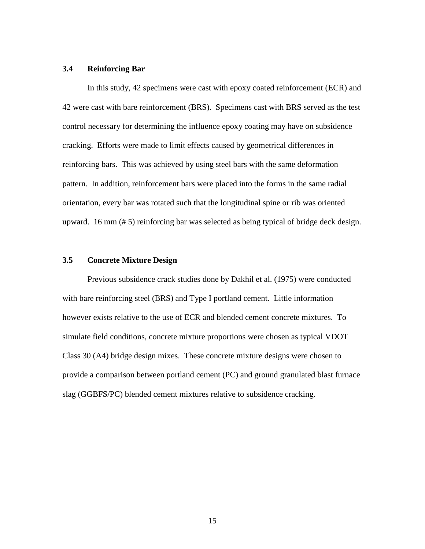### **3.4 Reinforcing Bar**

In this study, 42 specimens were cast with epoxy coated reinforcement (ECR) and 42 were cast with bare reinforcement (BRS). Specimens cast with BRS served as the test control necessary for determining the influence epoxy coating may have on subsidence cracking. Efforts were made to limit effects caused by geometrical differences in reinforcing bars. This was achieved by using steel bars with the same deformation pattern. In addition, reinforcement bars were placed into the forms in the same radial orientation, every bar was rotated such that the longitudinal spine or rib was oriented upward. 16 mm (# 5) reinforcing bar was selected as being typical of bridge deck design.

### **3.5 Concrete Mixture Design**

Previous subsidence crack studies done by Dakhil et al. (1975) were conducted with bare reinforcing steel (BRS) and Type I portland cement. Little information however exists relative to the use of ECR and blended cement concrete mixtures. To simulate field conditions, concrete mixture proportions were chosen as typical VDOT Class 30 (A4) bridge design mixes. These concrete mixture designs were chosen to provide a comparison between portland cement (PC) and ground granulated blast furnace slag (GGBFS/PC) blended cement mixtures relative to subsidence cracking.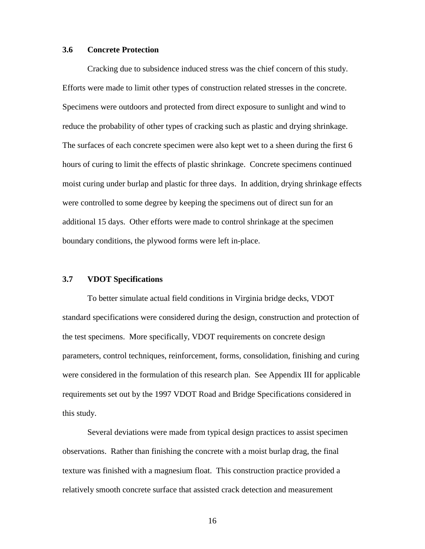### **3.6 Concrete Protection**

Cracking due to subsidence induced stress was the chief concern of this study. Efforts were made to limit other types of construction related stresses in the concrete. Specimens were outdoors and protected from direct exposure to sunlight and wind to reduce the probability of other types of cracking such as plastic and drying shrinkage. The surfaces of each concrete specimen were also kept wet to a sheen during the first 6 hours of curing to limit the effects of plastic shrinkage. Concrete specimens continued moist curing under burlap and plastic for three days. In addition, drying shrinkage effects were controlled to some degree by keeping the specimens out of direct sun for an additional 15 days. Other efforts were made to control shrinkage at the specimen boundary conditions, the plywood forms were left in-place.

#### **3.7 VDOT Specifications**

To better simulate actual field conditions in Virginia bridge decks, VDOT standard specifications were considered during the design, construction and protection of the test specimens. More specifically, VDOT requirements on concrete design parameters, control techniques, reinforcement, forms, consolidation, finishing and curing were considered in the formulation of this research plan. See Appendix III for applicable requirements set out by the 1997 VDOT Road and Bridge Specifications considered in this study.

Several deviations were made from typical design practices to assist specimen observations. Rather than finishing the concrete with a moist burlap drag, the final texture was finished with a magnesium float. This construction practice provided a relatively smooth concrete surface that assisted crack detection and measurement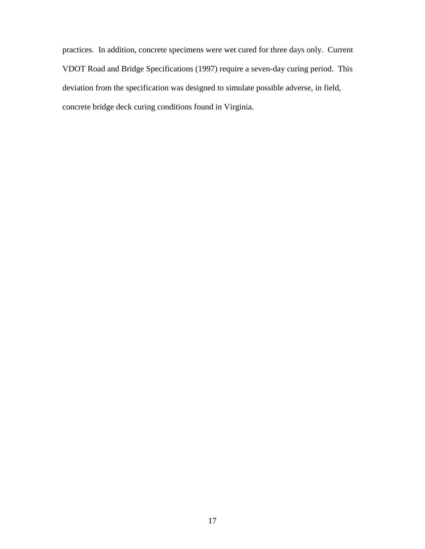practices. In addition, concrete specimens were wet cured for three days only. Current VDOT Road and Bridge Specifications (1997) require a seven-day curing period. This deviation from the specification was designed to simulate possible adverse, in field, concrete bridge deck curing conditions found in Virginia.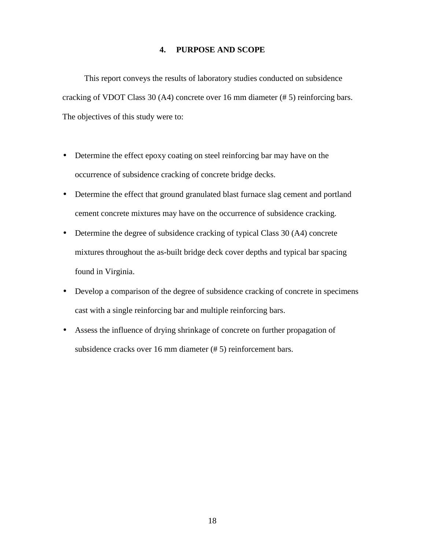## **4. PURPOSE AND SCOPE**

This report conveys the results of laboratory studies conducted on subsidence cracking of VDOT Class 30 (A4) concrete over 16 mm diameter (# 5) reinforcing bars. The objectives of this study were to:

- Determine the effect epoxy coating on steel reinforcing bar may have on the occurrence of subsidence cracking of concrete bridge decks.
- Determine the effect that ground granulated blast furnace slag cement and portland cement concrete mixtures may have on the occurrence of subsidence cracking.
- Determine the degree of subsidence cracking of typical Class 30 (A4) concrete mixtures throughout the as-built bridge deck cover depths and typical bar spacing found in Virginia.
- Develop a comparison of the degree of subsidence cracking of concrete in specimens cast with a single reinforcing bar and multiple reinforcing bars.
- Assess the influence of drying shrinkage of concrete on further propagation of subsidence cracks over 16 mm diameter (# 5) reinforcement bars.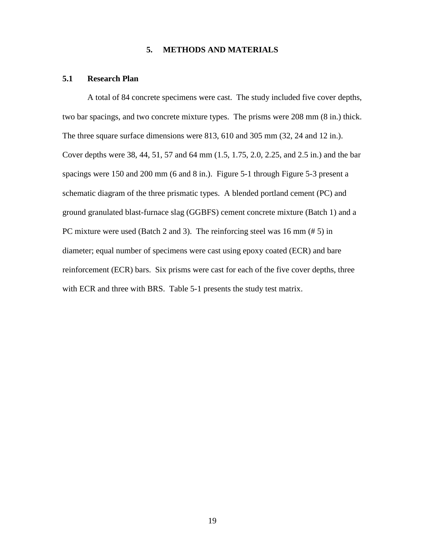### **5. METHODS AND MATERIALS**

### **5.1 Research Plan**

A total of 84 concrete specimens were cast. The study included five cover depths, two bar spacings, and two concrete mixture types. The prisms were 208 mm (8 in.) thick. The three square surface dimensions were 813, 610 and 305 mm (32, 24 and 12 in.). Cover depths were 38, 44, 51, 57 and 64 mm (1.5, 1.75, 2.0, 2.25, and 2.5 in.) and the bar spacings were 150 and 200 mm (6 and 8 in.). Figure 5-1 through Figure 5-3 present a schematic diagram of the three prismatic types. A blended portland cement (PC) and ground granulated blast-furnace slag (GGBFS) cement concrete mixture (Batch 1) and a PC mixture were used (Batch 2 and 3). The reinforcing steel was 16 mm (# 5) in diameter; equal number of specimens were cast using epoxy coated (ECR) and bare reinforcement (ECR) bars. Six prisms were cast for each of the five cover depths, three with ECR and three with BRS. Table 5-1 presents the study test matrix.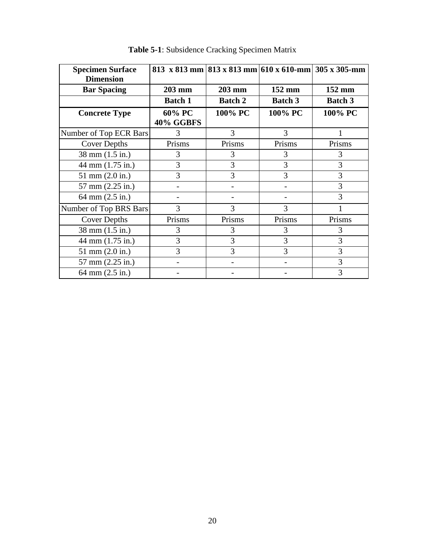| <b>Specimen Surface</b><br><b>Dimension</b> | 813 x 813 mm 813 x 813 mm 610 x 610-mm 305 x 305-mm |                |                |                |
|---------------------------------------------|-----------------------------------------------------|----------------|----------------|----------------|
| <b>Bar Spacing</b>                          | 203 mm                                              | 203 mm         | 152 mm         | 152 mm         |
|                                             | <b>Batch 1</b>                                      | <b>Batch 2</b> | <b>Batch 3</b> | <b>Batch 3</b> |
| <b>Concrete Type</b>                        | 60% PC                                              | 100% PC        | 100% PC        | 100% PC        |
|                                             | 40% GGBFS                                           |                |                |                |
| Number of Top ECR Bars                      | 3                                                   | 3              | 3              |                |
| <b>Cover Depths</b>                         | Prisms                                              | Prisms         | Prisms         | Prisms         |
| 38 mm (1.5 in.)                             | 3                                                   | 3              | 3              | 3              |
| 44 mm (1.75 in.)                            | 3                                                   | 3              | 3              | 3              |
| $51 \text{ mm} (2.0 \text{ in.})$           | 3                                                   | 3              | 3              | 3              |
| 57 mm (2.25 in.)                            |                                                     |                |                | 3              |
| 64 mm (2.5 in.)                             |                                                     |                |                | 3              |
| Number of Top BRS Bars                      | 3                                                   | 3              | 3              |                |
| <b>Cover Depths</b>                         | Prisms                                              | Prisms         | Prisms         | Prisms         |
| 38 mm (1.5 in.)                             | 3                                                   | 3              | 3              | 3              |
| 44 mm (1.75 in.)                            | 3                                                   | 3              | 3              | 3              |
| $51 \text{ mm} (2.0 \text{ in.})$           | 3                                                   | 3              | 3              | 3              |
| 57 mm (2.25 in.)                            |                                                     |                |                | 3              |
| 64 mm (2.5 in.)                             |                                                     |                |                | 3              |

**Table 5-1**: Subsidence Cracking Specimen Matrix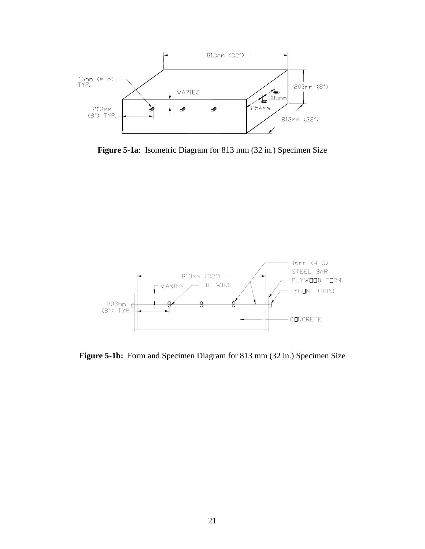

**Figure 5-1a**: Isometric Diagram for 813 mm (32 in.) Specimen Size



Figure 5-1b: Form and Specimen Diagram for 813 mm (32 in.) Specimen Size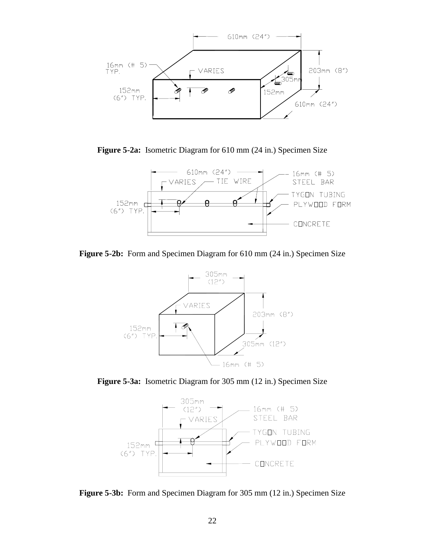

**Figure 5-2a:** Isometric Diagram for 610 mm (24 in.) Specimen Size



**Figure 5-2b:** Form and Specimen Diagram for 610 mm (24 in.) Specimen Size



**Figure 5-3a:** Isometric Diagram for 305 mm (12 in.) Specimen Size



**Figure 5-3b:** Form and Specimen Diagram for 305 mm (12 in.) Specimen Size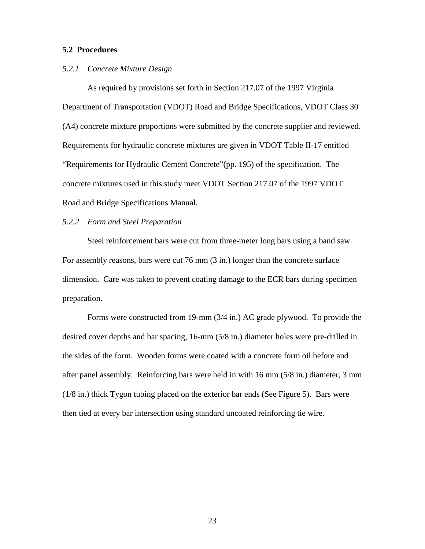### **5.2 Procedures**

#### *5.2.1 Concrete Mixture Design*

As required by provisions set forth in Section 217.07 of the 1997 Virginia Department of Transportation (VDOT) Road and Bridge Specifications, VDOT Class 30 (A4) concrete mixture proportions were submitted by the concrete supplier and reviewed. Requirements for hydraulic concrete mixtures are given in VDOT Table II-17 entitled "Requirements for Hydraulic Cement Concrete"(pp. 195) of the specification. The concrete mixtures used in this study meet VDOT Section 217.07 of the 1997 VDOT Road and Bridge Specifications Manual.

#### *5.2.2 Form and Steel Preparation*

Steel reinforcement bars were cut from three-meter long bars using a band saw. For assembly reasons, bars were cut 76 mm (3 in.) longer than the concrete surface dimension. Care was taken to prevent coating damage to the ECR bars during specimen preparation.

Forms were constructed from 19-mm (3/4 in.) AC grade plywood. To provide the desired cover depths and bar spacing, 16-mm (5/8 in.) diameter holes were pre-drilled in the sides of the form. Wooden forms were coated with a concrete form oil before and after panel assembly. Reinforcing bars were held in with 16 mm (5/8 in.) diameter, 3 mm (1/8 in.) thick Tygon tubing placed on the exterior bar ends (See Figure 5). Bars were then tied at every bar intersection using standard uncoated reinforcing tie wire.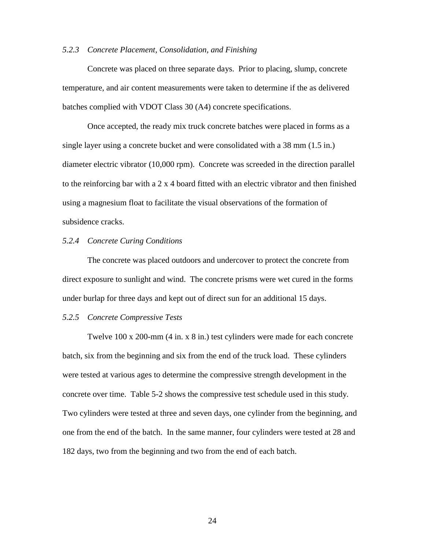#### *5.2.3 Concrete Placement, Consolidation, and Finishing*

Concrete was placed on three separate days. Prior to placing, slump, concrete temperature, and air content measurements were taken to determine if the as delivered batches complied with VDOT Class 30 (A4) concrete specifications.

Once accepted, the ready mix truck concrete batches were placed in forms as a single layer using a concrete bucket and were consolidated with a 38 mm (1.5 in.) diameter electric vibrator (10,000 rpm). Concrete was screeded in the direction parallel to the reinforcing bar with a 2 x 4 board fitted with an electric vibrator and then finished using a magnesium float to facilitate the visual observations of the formation of subsidence cracks.

### *5.2.4 Concrete Curing Conditions*

The concrete was placed outdoors and undercover to protect the concrete from direct exposure to sunlight and wind. The concrete prisms were wet cured in the forms under burlap for three days and kept out of direct sun for an additional 15 days.

#### *5.2.5 Concrete Compressive Tests*

Twelve 100 x 200-mm (4 in. x 8 in.) test cylinders were made for each concrete batch, six from the beginning and six from the end of the truck load. These cylinders were tested at various ages to determine the compressive strength development in the concrete over time. Table 5-2 shows the compressive test schedule used in this study. Two cylinders were tested at three and seven days, one cylinder from the beginning, and one from the end of the batch. In the same manner, four cylinders were tested at 28 and 182 days, two from the beginning and two from the end of each batch.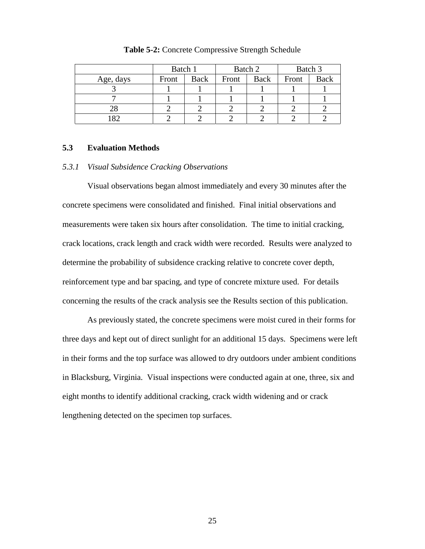|           | Batch 1 |      | Batch 2 |             | Batch 3 |             |
|-----------|---------|------|---------|-------------|---------|-------------|
| Age, days | Front   | Back | Front   | <b>Back</b> | Front   | <b>Back</b> |
|           |         |      |         |             |         |             |
|           |         |      |         |             |         |             |
|           |         |      |         |             |         |             |
|           |         |      |         |             |         |             |

**Table 5-2:** Concrete Compressive Strength Schedule

#### **5.3 Evaluation Methods**

#### *5.3.1 Visual Subsidence Cracking Observations*

Visual observations began almost immediately and every 30 minutes after the concrete specimens were consolidated and finished. Final initial observations and measurements were taken six hours after consolidation. The time to initial cracking, crack locations, crack length and crack width were recorded. Results were analyzed to determine the probability of subsidence cracking relative to concrete cover depth, reinforcement type and bar spacing, and type of concrete mixture used. For details concerning the results of the crack analysis see the Results section of this publication.

As previously stated, the concrete specimens were moist cured in their forms for three days and kept out of direct sunlight for an additional 15 days. Specimens were left in their forms and the top surface was allowed to dry outdoors under ambient conditions in Blacksburg, Virginia. Visual inspections were conducted again at one, three, six and eight months to identify additional cracking, crack width widening and or crack lengthening detected on the specimen top surfaces.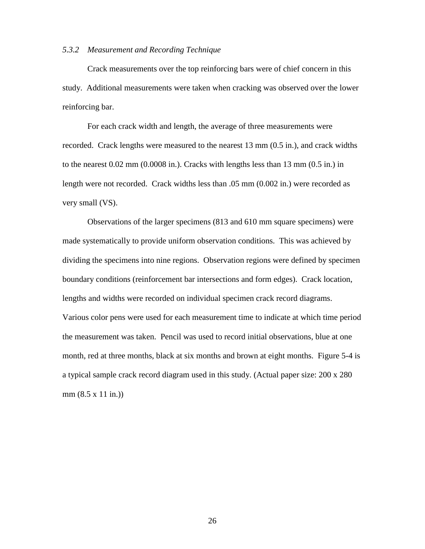#### *5.3.2 Measurement and Recording Technique*

Crack measurements over the top reinforcing bars were of chief concern in this study. Additional measurements were taken when cracking was observed over the lower reinforcing bar.

For each crack width and length, the average of three measurements were recorded. Crack lengths were measured to the nearest 13 mm (0.5 in.), and crack widths to the nearest 0.02 mm (0.0008 in.). Cracks with lengths less than 13 mm (0.5 in.) in length were not recorded. Crack widths less than .05 mm (0.002 in.) were recorded as very small (VS).

Observations of the larger specimens (813 and 610 mm square specimens) were made systematically to provide uniform observation conditions. This was achieved by dividing the specimens into nine regions. Observation regions were defined by specimen boundary conditions (reinforcement bar intersections and form edges). Crack location, lengths and widths were recorded on individual specimen crack record diagrams. Various color pens were used for each measurement time to indicate at which time period the measurement was taken. Pencil was used to record initial observations, blue at one month, red at three months, black at six months and brown at eight months. Figure 5-4 is a typical sample crack record diagram used in this study. (Actual paper size: 200 x 280 mm (8.5 x 11 in.))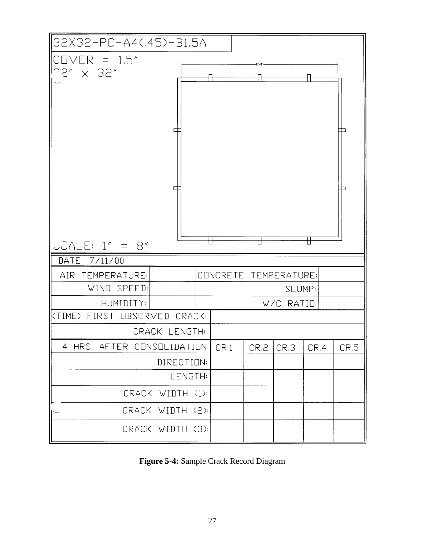

**Figure 5-4:** Sample Crack Record Diagram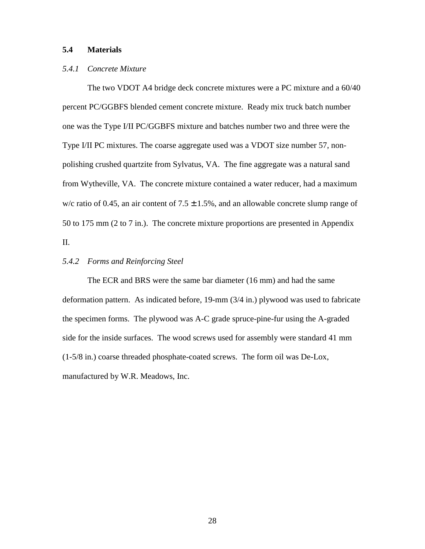### **5.4 Materials**

### *5.4.1 Concrete Mixture*

The two VDOT A4 bridge deck concrete mixtures were a PC mixture and a 60/40 percent PC/GGBFS blended cement concrete mixture. Ready mix truck batch number one was the Type I/II PC/GGBFS mixture and batches number two and three were the Type I/II PC mixtures. The coarse aggregate used was a VDOT size number 57, nonpolishing crushed quartzite from Sylvatus, VA. The fine aggregate was a natural sand from Wytheville, VA. The concrete mixture contained a water reducer, had a maximum w/c ratio of 0.45, an air content of  $7.5 \pm 1.5$ %, and an allowable concrete slump range of 50 to 175 mm (2 to 7 in.). The concrete mixture proportions are presented in Appendix II.

### *5.4.2 Forms and Reinforcing Steel*

The ECR and BRS were the same bar diameter (16 mm) and had the same deformation pattern. As indicated before, 19-mm (3/4 in.) plywood was used to fabricate the specimen forms. The plywood was A-C grade spruce-pine-fur using the A-graded side for the inside surfaces. The wood screws used for assembly were standard 41 mm (1-5/8 in.) coarse threaded phosphate-coated screws. The form oil was De-Lox, manufactured by W.R. Meadows, Inc.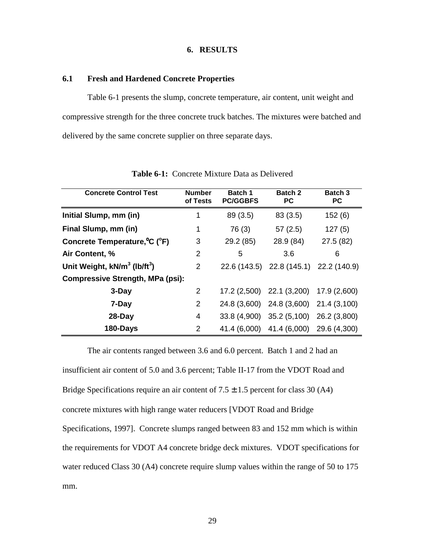### **6. RESULTS**

### **6.1 Fresh and Hardened Concrete Properties**

 Table 6-1 presents the slump, concrete temperature, air content, unit weight and compressive strength for the three concrete truck batches. The mixtures were batched and delivered by the same concrete supplier on three separate days.

| <b>Concrete Control Test</b>                         | <b>Number</b><br>of Tests | Batch 1<br><b>PC/GGBFS</b> | <b>Batch 2</b><br><b>PC</b>  | <b>Batch 3</b><br>РC |
|------------------------------------------------------|---------------------------|----------------------------|------------------------------|----------------------|
| Initial Slump, mm (in)                               | 1                         | 89 (3.5)                   | 83(3.5)                      | 152(6)               |
| Final Slump, mm (in)                                 | 1                         | 76 (3)                     | 57(2.5)                      | 127(5)               |
| Concrete Temperature, °C (°F)                        | 3                         | 29.2 (85)                  | 28.9 (84)                    | 27.5 (82)            |
| Air Content, %                                       | 2                         | 5                          | 3.6                          | 6                    |
| Unit Weight, kN/m <sup>3</sup> (lb/ft <sup>3</sup> ) | 2                         |                            | 22.6 (143.5) 22.8 (145.1)    | 22.2 (140.9)         |
| <b>Compressive Strength, MPa (psi):</b>              |                           |                            |                              |                      |
| 3-Day                                                | 2                         |                            | $17.2(2,500)$ 22.1 $(3,200)$ | 17.9 (2,600)         |
| 7-Day                                                | 2                         |                            | 24.8 (3,600) 24.8 (3,600)    | 21.4 (3,100)         |
| 28-Day                                               | 4                         | 33.8 (4,900)               | 35.2(5,100)                  | 26.2 (3,800)         |
| 180-Days                                             | 2                         | 41.4 (6,000)               | 41.4 (6,000) 29.6 (4,300)    |                      |

**Table 6-1:** Concrete Mixture Data as Delivered

The air contents ranged between 3.6 and 6.0 percent. Batch 1 and 2 had an insufficient air content of 5.0 and 3.6 percent; Table II-17 from the VDOT Road and Bridge Specifications require an air content of  $7.5 \pm 1.5$  percent for class 30 (A4) concrete mixtures with high range water reducers [VDOT Road and Bridge Specifications, 1997]. Concrete slumps ranged between 83 and 152 mm which is within the requirements for VDOT A4 concrete bridge deck mixtures. VDOT specifications for water reduced Class 30 (A4) concrete require slump values within the range of 50 to 175 mm.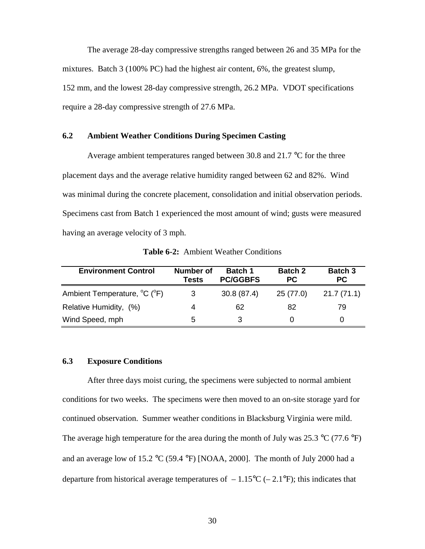The average 28-day compressive strengths ranged between 26 and 35 MPa for the mixtures. Batch 3 (100% PC) had the highest air content, 6%, the greatest slump, 152 mm, and the lowest 28-day compressive strength, 26.2 MPa. VDOT specifications require a 28-day compressive strength of 27.6 MPa.

#### **6.2 Ambient Weather Conditions During Specimen Casting**

Average ambient temperatures ranged between 30.8 and 21.7 °C for the three placement days and the average relative humidity ranged between 62 and 82%. Wind was minimal during the concrete placement, consolidation and initial observation periods. Specimens cast from Batch 1 experienced the most amount of wind; gusts were measured having an average velocity of 3 mph.

| <b>Environment Control</b>                            | <b>Number of</b><br><b>Tests</b> | <b>Batch 1</b><br><b>PC/GGBFS</b> | <b>Batch 2</b><br><b>PC</b> | <b>Batch 3</b><br><b>PC</b> |
|-------------------------------------------------------|----------------------------------|-----------------------------------|-----------------------------|-----------------------------|
| Ambient Temperature, <sup>o</sup> C ( <sup>o</sup> F) | 3                                | 30.8(87.4)                        | 25(77.0)                    | 21.7(71.1)                  |
| Relative Humidity, (%)                                | 4                                | 62                                | 82                          | 79                          |
| Wind Speed, mph                                       | 5                                | 3                                 |                             |                             |

**Table 6-2:** Ambient Weather Conditions

#### **6.3 Exposure Conditions**

 After three days moist curing, the specimens were subjected to normal ambient conditions for two weeks. The specimens were then moved to an on-site storage yard for continued observation. Summer weather conditions in Blacksburg Virginia were mild. The average high temperature for the area during the month of July was  $25.3 \text{ °C}$  (77.6  $\text{°F}$ ) and an average low of 15.2  $\rm{°C}$  (59.4  $\rm{°F}$ ) [NOAA, 2000]. The month of July 2000 had a departure from historical average temperatures of  $-1.15^{\circ}\text{C}$  (-2.1°F); this indicates that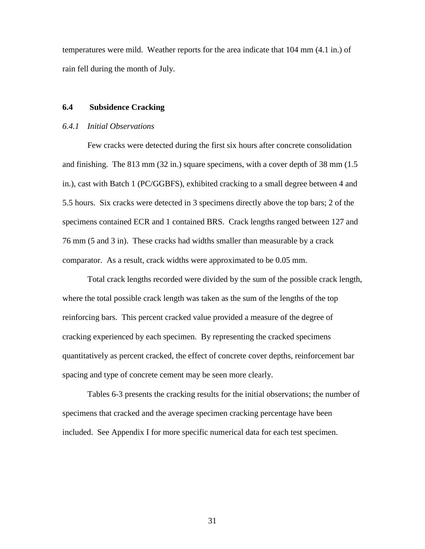temperatures were mild. Weather reports for the area indicate that 104 mm (4.1 in.) of rain fell during the month of July.

# **6.4 Subsidence Cracking**

### *6.4.1 Initial Observations*

Few cracks were detected during the first six hours after concrete consolidation and finishing. The 813 mm (32 in.) square specimens, with a cover depth of 38 mm (1.5 in.), cast with Batch 1 (PC/GGBFS), exhibited cracking to a small degree between 4 and 5.5 hours. Six cracks were detected in 3 specimens directly above the top bars; 2 of the specimens contained ECR and 1 contained BRS. Crack lengths ranged between 127 and 76 mm (5 and 3 in). These cracks had widths smaller than measurable by a crack comparator. As a result, crack widths were approximated to be 0.05 mm.

Total crack lengths recorded were divided by the sum of the possible crack length, where the total possible crack length was taken as the sum of the lengths of the top reinforcing bars. This percent cracked value provided a measure of the degree of cracking experienced by each specimen. By representing the cracked specimens quantitatively as percent cracked, the effect of concrete cover depths, reinforcement bar spacing and type of concrete cement may be seen more clearly.

Tables 6-3 presents the cracking results for the initial observations; the number of specimens that cracked and the average specimen cracking percentage have been included. See Appendix I for more specific numerical data for each test specimen.

31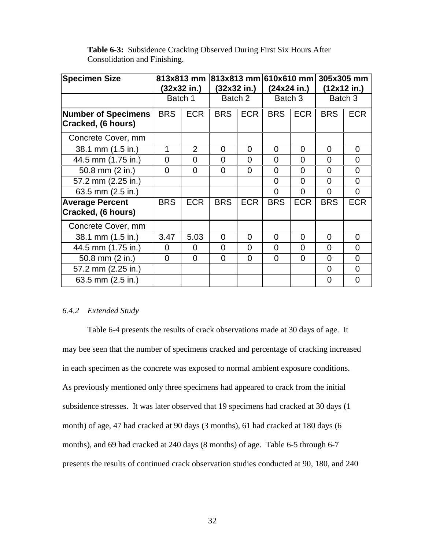| <b>Specimen Size</b>                             |                | 813x813 mm<br>(32x32 in.) |                | (32x32 in.) |                | 813x813 mm 610x610 mm<br>305x305 mm<br>$(24x24$ in.)<br>$(12x12$ in.) |                |                |
|--------------------------------------------------|----------------|---------------------------|----------------|-------------|----------------|-----------------------------------------------------------------------|----------------|----------------|
|                                                  |                | Batch 1                   | Batch 2        |             | Batch 3        |                                                                       | Batch 3        |                |
| <b>Number of Specimens</b><br>Cracked, (6 hours) | <b>BRS</b>     | <b>ECR</b>                | <b>BRS</b>     | <b>ECR</b>  | <b>BRS</b>     | <b>ECR</b>                                                            | <b>BRS</b>     | <b>ECR</b>     |
| Concrete Cover, mm                               |                |                           |                |             |                |                                                                       |                |                |
| 38.1 mm (1.5 in.)                                | 1              | $\overline{2}$            | $\overline{0}$ | $\Omega$    | $\Omega$       | 0                                                                     | 0              | 0              |
| 44.5 mm (1.75 in.)                               | $\Omega$       | $\overline{0}$            | 0              | $\Omega$    | $\Omega$       | $\overline{0}$                                                        | $\overline{0}$ | $\overline{0}$ |
| 50.8 mm (2 in.)                                  | $\Omega$       | $\overline{0}$            | $\Omega$       | $\Omega$    | $\Omega$       | $\overline{0}$                                                        | $\overline{0}$ | $\Omega$       |
| 57.2 mm (2.25 in.)                               |                |                           |                |             | $\overline{0}$ | $\overline{0}$                                                        | $\overline{0}$ | $\overline{0}$ |
| 63.5 mm (2.5 in.)                                |                |                           |                |             | $\Omega$       | $\overline{0}$                                                        | $\overline{0}$ | $\Omega$       |
| <b>Average Percent</b><br>Cracked, (6 hours)     | <b>BRS</b>     | <b>ECR</b>                | <b>BRS</b>     | <b>ECR</b>  | <b>BRS</b>     | <b>ECR</b>                                                            | <b>BRS</b>     | <b>ECR</b>     |
| Concrete Cover, mm                               |                |                           |                |             |                |                                                                       |                |                |
| 38.1 mm (1.5 in.)                                | 3.47           | 5.03                      | $\overline{0}$ | $\Omega$    | $\Omega$       | $\Omega$                                                              | $\Omega$       | $\overline{0}$ |
| 44.5 mm (1.75 in.)                               | 0              | 0                         | $\Omega$       | $\Omega$    | 0              | 0                                                                     | $\Omega$       | $\Omega$       |
| 50.8 mm (2 in.)                                  | $\overline{0}$ | $\Omega$                  | 0              | $\Omega$    | $\Omega$       | 0                                                                     | $\overline{0}$ | $\Omega$       |
| 57.2 mm (2.25 in.)                               |                |                           |                |             |                |                                                                       | $\overline{0}$ | $\Omega$       |
| 63.5 mm (2.5 in.)                                |                |                           |                |             |                |                                                                       | 0              | $\Omega$       |

**Table 6-3:** Subsidence Cracking Observed During First Six Hours After Consolidation and Finishing.

# *6.4.2 Extended Study*

Table 6-4 presents the results of crack observations made at 30 days of age. It may bee seen that the number of specimens cracked and percentage of cracking increased in each specimen as the concrete was exposed to normal ambient exposure conditions. As previously mentioned only three specimens had appeared to crack from the initial subsidence stresses. It was later observed that 19 specimens had cracked at 30 days (1 month) of age, 47 had cracked at 90 days (3 months), 61 had cracked at 180 days (6 months), and 69 had cracked at 240 days (8 months) of age. Table 6-5 through 6-7 presents the results of continued crack observation studies conducted at 90, 180, and 240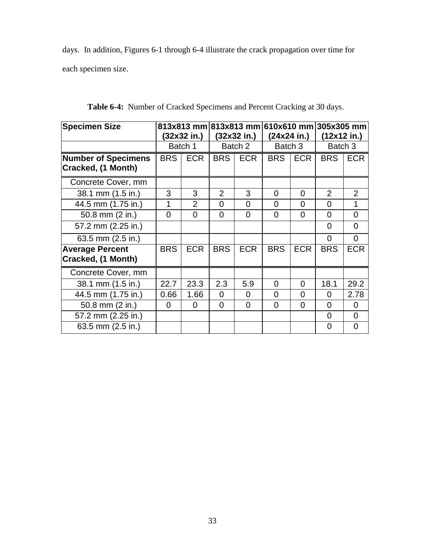days. In addition, Figures 6-1 through 6-4 illustrate the crack propagation over time for each specimen size.

| <b>Specimen Size</b>                             |            | 813x813 mm 813x813 mm 610x610 mm 305x305 mm |                |                |            |             |                |                |
|--------------------------------------------------|------------|---------------------------------------------|----------------|----------------|------------|-------------|----------------|----------------|
|                                                  |            | (32x32 in.)                                 |                | (32x32 in.)    |            | (24x24 in.) | (12x12 in.)    |                |
|                                                  |            | Batch 1                                     |                | Batch 2        | Batch 3    |             | Batch 3        |                |
| <b>Number of Specimens</b><br>Cracked, (1 Month) | <b>BRS</b> | <b>ECR</b>                                  | <b>BRS</b>     | <b>ECR</b>     | <b>BRS</b> | <b>ECR</b>  | <b>BRS</b>     | <b>ECR</b>     |
| Concrete Cover, mm                               |            |                                             |                |                |            |             |                |                |
| 38.1 mm (1.5 in.)                                | 3          | 3                                           | $\overline{2}$ | 3              | 0          | $\Omega$    | $\overline{2}$ | $\overline{2}$ |
| 44.5 mm (1.75 in.)                               | 1          | $\overline{2}$                              | $\Omega$       | $\Omega$       | 0          | $\Omega$    | $\Omega$       | 1              |
| 50.8 mm (2 in.)                                  | $\Omega$   | 0                                           | $\Omega$       | $\Omega$       | 0          | $\Omega$    | $\Omega$       | $\overline{0}$ |
| 57.2 mm (2.25 in.)                               |            |                                             |                |                |            |             | $\Omega$       | $\overline{0}$ |
| 63.5 mm (2.5 in.)                                |            |                                             |                |                |            |             | $\Omega$       | $\overline{0}$ |
| <b>Average Percent</b><br>Cracked, (1 Month)     | <b>BRS</b> | <b>ECR</b>                                  | <b>BRS</b>     | <b>ECR</b>     | <b>BRS</b> | <b>ECR</b>  | <b>BRS</b>     | <b>ECR</b>     |
| Concrete Cover, mm                               |            |                                             |                |                |            |             |                |                |
| 38.1 mm (1.5 in.)                                | 22.7       | 23.3                                        | 2.3            | 5.9            | 0          | $\Omega$    | 18.1           | 29.2           |
| 44.5 mm (1.75 in.)                               | 0.66       | 1.66                                        | $\Omega$       | 0              | 0          | $\Omega$    | 0              | 2.78           |
| 50.8 mm (2 in.)                                  | $\Omega$   | $\overline{0}$                              | $\Omega$       | $\overline{0}$ | 0          | $\Omega$    | $\Omega$       | $\overline{0}$ |
| 57.2 mm (2.25 in.)                               |            |                                             |                |                |            |             | 0              | $\overline{0}$ |
| 63.5 mm (2.5 in.)                                |            |                                             |                |                |            |             | 0              | 0              |

**Table 6-4:** Number of Cracked Specimens and Percent Cracking at 30 days.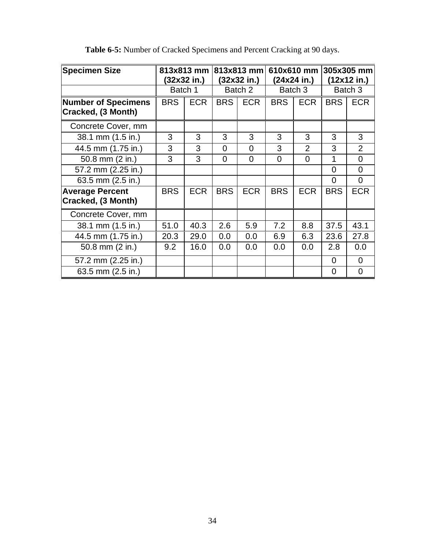| <b>Specimen Size</b>                             |            | 813x813 mm<br>(32x32 in.) |            | 813x813 mm<br>(32x32 in.) |            | 610x610 mm 305x305 mm<br>(12x12 in.)<br>(24x24 in.) |            |                |
|--------------------------------------------------|------------|---------------------------|------------|---------------------------|------------|-----------------------------------------------------|------------|----------------|
|                                                  | Batch 1    |                           |            | Batch 2                   |            | Batch 3                                             | Batch 3    |                |
| <b>Number of Specimens</b><br>Cracked, (3 Month) | <b>BRS</b> | <b>ECR</b>                | <b>BRS</b> | <b>ECR</b>                | <b>BRS</b> | <b>ECR</b>                                          | <b>BRS</b> | <b>ECR</b>     |
| Concrete Cover, mm                               |            |                           |            |                           |            |                                                     |            |                |
| 38.1 mm (1.5 in.)                                | 3          | 3                         | 3          | 3                         | 3          | 3                                                   | 3          | 3              |
| 44.5 mm (1.75 in.)                               | 3          | 3                         | $\Omega$   | $\overline{0}$            | 3          | $\overline{2}$                                      | 3          | $\overline{2}$ |
| 50.8 mm (2 in.)                                  | 3          | 3                         | $\Omega$   | 0                         | $\Omega$   | $\Omega$                                            |            | $\overline{0}$ |
| 57.2 mm (2.25 in.)                               |            |                           |            |                           |            |                                                     | $\Omega$   | $\Omega$       |
| 63.5 mm (2.5 in.)                                |            |                           |            |                           |            |                                                     | $\Omega$   | $\overline{0}$ |
| <b>Average Percent</b><br>Cracked, (3 Month)     | <b>BRS</b> | <b>ECR</b>                | <b>BRS</b> | <b>ECR</b>                | <b>BRS</b> | <b>ECR</b>                                          | <b>BRS</b> | <b>ECR</b>     |
| Concrete Cover, mm                               |            |                           |            |                           |            |                                                     |            |                |
| 38.1 mm (1.5 in.)                                | 51.0       | 40.3                      | 2.6        | 5.9                       | 7.2        | 8.8                                                 | 37.5       | 43.1           |
| 44.5 mm (1.75 in.)                               | 20.3       | 29.0                      | 0.0        | 0.0                       | 6.9        | 6.3                                                 | 23.6       | 27.8           |
| 50.8 mm (2 in.)                                  | 9.2        | 16.0                      | 0.0        | 0.0                       | 0.0        | 0.0                                                 | 2.8        | 0.0            |
| 57.2 mm (2.25 in.)                               |            |                           |            |                           |            |                                                     | $\Omega$   | $\overline{0}$ |
| 63.5 mm (2.5 in.)                                |            |                           |            |                           |            |                                                     | $\Omega$   | $\overline{0}$ |

**Table 6-5:** Number of Cracked Specimens and Percent Cracking at 90 days.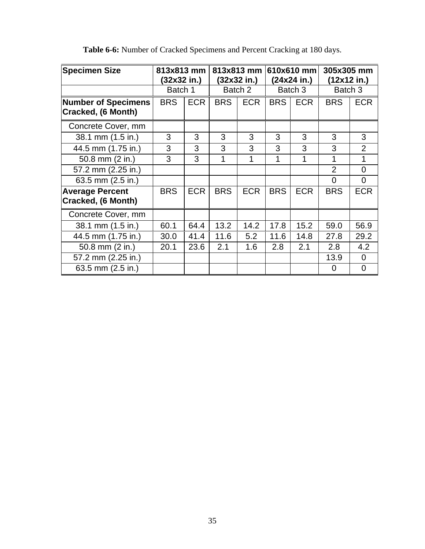| <b>Specimen Size</b>                             | 813x813 mm<br>(32x32 in.) |            |            | 813x813 mm<br>(32x32 in.) | 610x610 mm<br>(24x24 in.) |            | 305x305 mm<br>(12x12 in.) |                |  |
|--------------------------------------------------|---------------------------|------------|------------|---------------------------|---------------------------|------------|---------------------------|----------------|--|
|                                                  | Batch 1                   |            |            | Batch 2                   |                           | Batch 3    |                           | Batch 3        |  |
| <b>Number of Specimens</b><br>Cracked, (6 Month) | <b>BRS</b>                | <b>ECR</b> | <b>BRS</b> | <b>ECR</b>                | <b>BRS</b>                | <b>ECR</b> | <b>BRS</b>                | <b>ECR</b>     |  |
| Concrete Cover, mm                               |                           |            |            |                           |                           |            |                           |                |  |
| 38.1 mm (1.5 in.)                                | 3                         | 3          | 3          | 3                         | 3                         | 3          | 3                         | 3              |  |
| 44.5 mm (1.75 in.)                               | 3                         | 3          | 3          | 3                         | 3                         | 3          | 3                         | $\overline{2}$ |  |
| 50.8 mm (2 in.)                                  | 3                         | 3          | 1          |                           | 1                         | 1          | 1                         | 1              |  |
| 57.2 mm (2.25 in.)                               |                           |            |            |                           |                           |            | $\overline{2}$            | $\Omega$       |  |
| 63.5 mm (2.5 in.)                                |                           |            |            |                           |                           |            | $\Omega$                  | $\Omega$       |  |
| <b>Average Percent</b><br>Cracked, (6 Month)     | <b>BRS</b>                | <b>ECR</b> | <b>BRS</b> | <b>ECR</b>                | <b>BRS</b>                | <b>ECR</b> | <b>BRS</b>                | <b>ECR</b>     |  |
| Concrete Cover, mm                               |                           |            |            |                           |                           |            |                           |                |  |
| 38.1 mm (1.5 in.)                                | 60.1                      | 64.4       | 13.2       | 14.2                      | 17.8                      | 15.2       | 59.0                      | 56.9           |  |
| 44.5 mm (1.75 in.)                               | 30.0                      | 41.4       | 11.6       | 5.2                       | 11.6                      | 14.8       | 27.8                      | 29.2           |  |
| 50.8 mm (2 in.)                                  | 20.1                      | 23.6       | 2.1        | 1.6                       | 2.8                       | 2.1        | 2.8                       | 4.2            |  |
| 57.2 mm (2.25 in.)                               |                           |            |            |                           |                           |            | 13.9                      | $\Omega$       |  |
| 63.5 mm (2.5 in.)                                |                           |            |            |                           |                           |            | $\overline{0}$            | $\overline{0}$ |  |

**Table 6-6:** Number of Cracked Specimens and Percent Cracking at 180 days.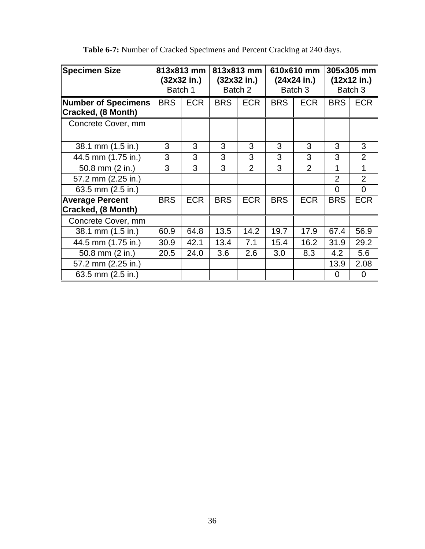| <b>Specimen Size</b>                             |            | 813x813 mm<br>(32x32 in.) |            | 813x813 mm<br>(32x32 in.) |            | 610x610 mm<br>(24x24 in.) |                | 305x305 mm<br>(12x12 in.) |  |
|--------------------------------------------------|------------|---------------------------|------------|---------------------------|------------|---------------------------|----------------|---------------------------|--|
|                                                  |            | Batch 1                   |            | Batch 2                   |            | Batch 3                   |                | Batch 3                   |  |
| <b>Number of Specimens</b><br>Cracked, (8 Month) | <b>BRS</b> | <b>ECR</b>                | <b>BRS</b> | <b>ECR</b>                | <b>BRS</b> | <b>ECR</b>                | <b>BRS</b>     | <b>ECR</b>                |  |
| Concrete Cover, mm                               |            |                           |            |                           |            |                           |                |                           |  |
| 38.1 mm (1.5 in.)                                | 3          | 3                         | 3          | 3                         | 3          | 3                         | 3              | 3                         |  |
| 44.5 mm (1.75 in.)                               | 3          | 3                         | 3          | 3                         | 3          | 3                         | 3              | $\overline{2}$            |  |
| 50.8 mm (2 in.)                                  | 3          | 3                         | 3          | $\overline{2}$            | 3          | $\overline{2}$            | 1              | 1                         |  |
| 57.2 mm (2.25 in.)                               |            |                           |            |                           |            |                           | $\overline{2}$ | $\overline{2}$            |  |
| 63.5 mm (2.5 in.)                                |            |                           |            |                           |            |                           | 0              | $\overline{0}$            |  |
| <b>Average Percent</b><br>Cracked, (8 Month)     | <b>BRS</b> | <b>ECR</b>                | <b>BRS</b> | <b>ECR</b>                | <b>BRS</b> | <b>ECR</b>                | <b>BRS</b>     | <b>ECR</b>                |  |
| Concrete Cover, mm                               |            |                           |            |                           |            |                           |                |                           |  |
| 38.1 mm (1.5 in.)                                | 60.9       | 64.8                      | 13.5       | 14.2                      | 19.7       | 17.9                      | 67.4           | 56.9                      |  |
| 44.5 mm (1.75 in.)                               | 30.9       | 42.1                      | 13.4       | 7.1                       | 15.4       | 16.2                      | 31.9           | 29.2                      |  |
| 50.8 mm (2 in.)                                  | 20.5       | 24.0                      | 3.6        | 2.6                       | 3.0        | 8.3                       | 4.2            | 5.6                       |  |
| 57.2 mm (2.25 in.)                               |            |                           |            |                           |            |                           | 13.9           | 2.08                      |  |
| 63.5 mm (2.5 in.)                                |            |                           |            |                           |            |                           | 0              | 0                         |  |

**Table 6-7:** Number of Cracked Specimens and Percent Cracking at 240 days.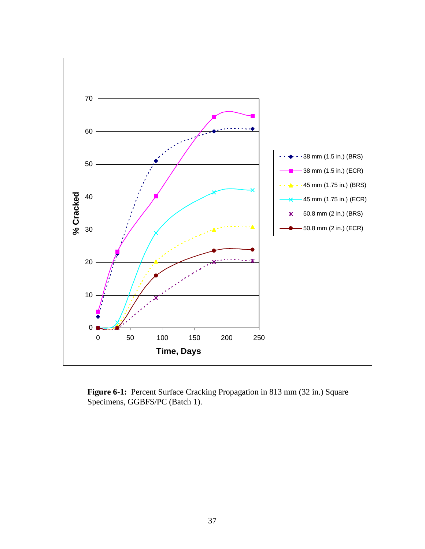

**Figure 6-1:** Percent Surface Cracking Propagation in 813 mm (32 in.) Square Specimens, GGBFS/PC (Batch 1).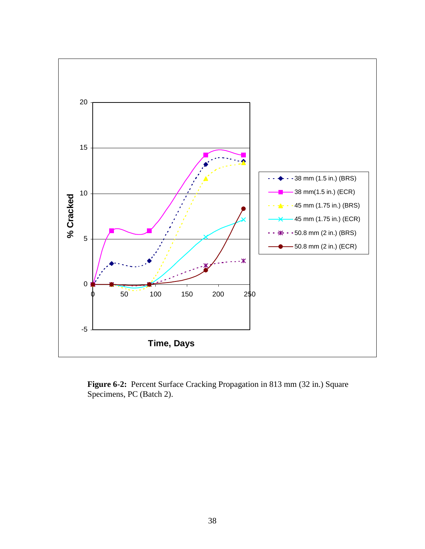

**Figure 6-2:** Percent Surface Cracking Propagation in 813 mm (32 in.) Square Specimens, PC (Batch 2).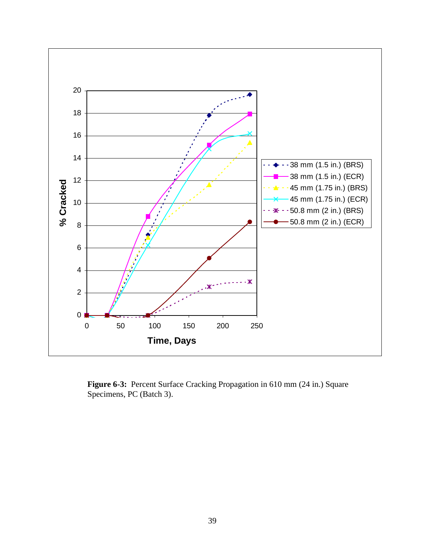

**Figure 6-3:** Percent Surface Cracking Propagation in 610 mm (24 in.) Square Specimens, PC (Batch 3).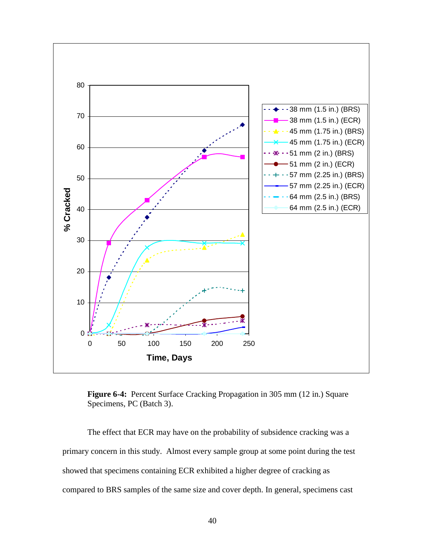

**Figure 6-4:** Percent Surface Cracking Propagation in 305 mm (12 in.) Square Specimens, PC (Batch 3).

The effect that ECR may have on the probability of subsidence cracking was a primary concern in this study. Almost every sample group at some point during the test showed that specimens containing ECR exhibited a higher degree of cracking as compared to BRS samples of the same size and cover depth. In general, specimens cast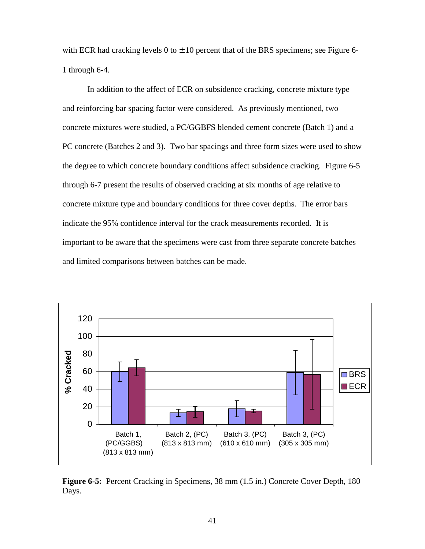with ECR had cracking levels  $0$  to  $\pm$  10 percent that of the BRS specimens; see Figure 6-1 through 6-4.

In addition to the affect of ECR on subsidence cracking, concrete mixture type and reinforcing bar spacing factor were considered. As previously mentioned, two concrete mixtures were studied, a PC/GGBFS blended cement concrete (Batch 1) and a PC concrete (Batches 2 and 3). Two bar spacings and three form sizes were used to show the degree to which concrete boundary conditions affect subsidence cracking. Figure 6-5 through 6-7 present the results of observed cracking at six months of age relative to concrete mixture type and boundary conditions for three cover depths. The error bars indicate the 95% confidence interval for the crack measurements recorded. It is important to be aware that the specimens were cast from three separate concrete batches and limited comparisons between batches can be made.



**Figure 6-5:** Percent Cracking in Specimens, 38 mm (1.5 in.) Concrete Cover Depth, 180 Days.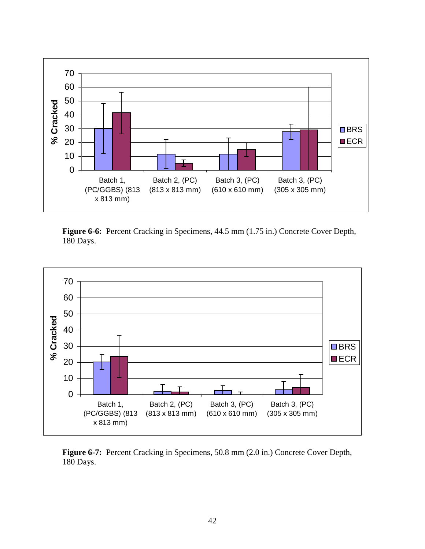

**Figure 6-6:** Percent Cracking in Specimens, 44.5 mm (1.75 in.) Concrete Cover Depth, 180 Days.



**Figure 6-7:** Percent Cracking in Specimens, 50.8 mm (2.0 in.) Concrete Cover Depth, 180 Days.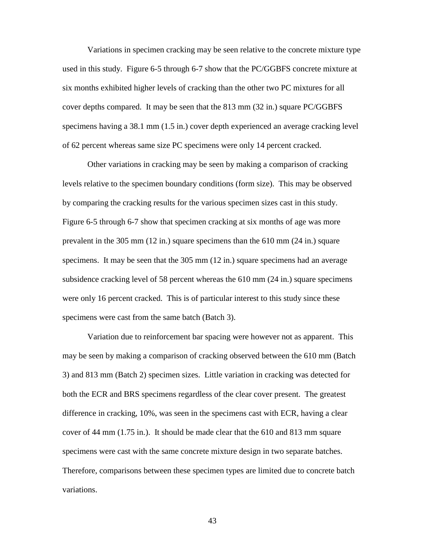Variations in specimen cracking may be seen relative to the concrete mixture type used in this study. Figure 6-5 through 6-7 show that the PC/GGBFS concrete mixture at six months exhibited higher levels of cracking than the other two PC mixtures for all cover depths compared. It may be seen that the 813 mm (32 in.) square PC/GGBFS specimens having a 38.1 mm (1.5 in.) cover depth experienced an average cracking level of 62 percent whereas same size PC specimens were only 14 percent cracked.

Other variations in cracking may be seen by making a comparison of cracking levels relative to the specimen boundary conditions (form size). This may be observed by comparing the cracking results for the various specimen sizes cast in this study. Figure 6-5 through 6-7 show that specimen cracking at six months of age was more prevalent in the 305 mm (12 in.) square specimens than the 610 mm (24 in.) square specimens. It may be seen that the 305 mm (12 in.) square specimens had an average subsidence cracking level of 58 percent whereas the 610 mm (24 in.) square specimens were only 16 percent cracked. This is of particular interest to this study since these specimens were cast from the same batch (Batch 3).

Variation due to reinforcement bar spacing were however not as apparent. This may be seen by making a comparison of cracking observed between the 610 mm (Batch 3) and 813 mm (Batch 2) specimen sizes. Little variation in cracking was detected for both the ECR and BRS specimens regardless of the clear cover present. The greatest difference in cracking, 10%, was seen in the specimens cast with ECR, having a clear cover of 44 mm (1.75 in.). It should be made clear that the 610 and 813 mm square specimens were cast with the same concrete mixture design in two separate batches. Therefore, comparisons between these specimen types are limited due to concrete batch variations.

43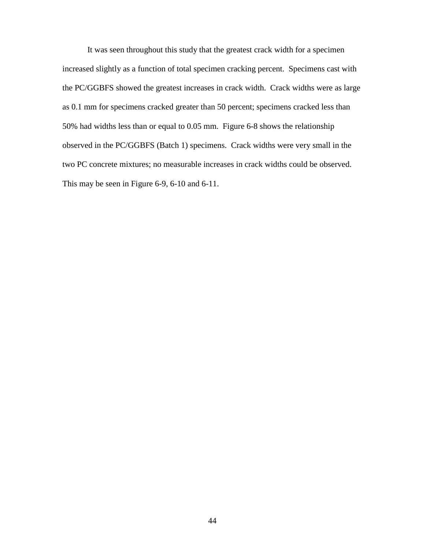It was seen throughout this study that the greatest crack width for a specimen increased slightly as a function of total specimen cracking percent. Specimens cast with the PC/GGBFS showed the greatest increases in crack width. Crack widths were as large as 0.1 mm for specimens cracked greater than 50 percent; specimens cracked less than 50% had widths less than or equal to 0.05 mm. Figure 6-8 shows the relationship observed in the PC/GGBFS (Batch 1) specimens. Crack widths were very small in the two PC concrete mixtures; no measurable increases in crack widths could be observed. This may be seen in Figure 6-9, 6-10 and 6-11.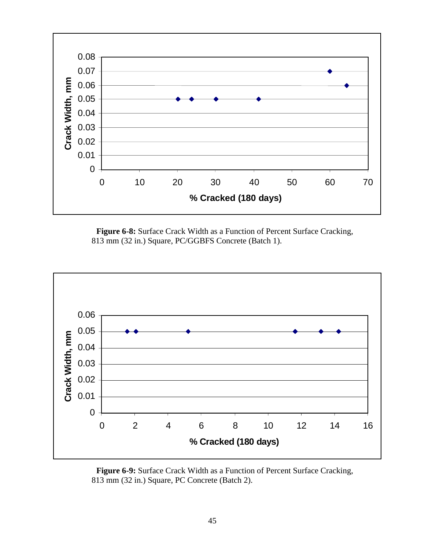

**Figure 6-8:** Surface Crack Width as a Function of Percent Surface Cracking, 813 mm (32 in.) Square, PC/GGBFS Concrete (Batch 1).



**Figure 6-9:** Surface Crack Width as a Function of Percent Surface Cracking, 813 mm (32 in.) Square, PC Concrete (Batch 2).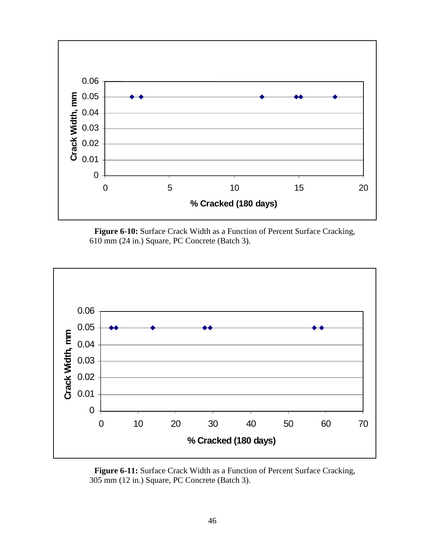

**Figure 6-10:** Surface Crack Width as a Function of Percent Surface Cracking, 610 mm (24 in.) Square, PC Concrete (Batch 3).



**Figure 6-11:** Surface Crack Width as a Function of Percent Surface Cracking, 305 mm (12 in.) Square, PC Concrete (Batch 3).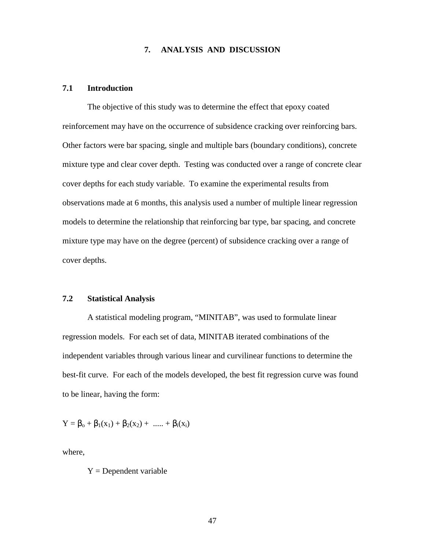# **7. ANALYSIS AND DISCUSSION**

### **7.1 Introduction**

The objective of this study was to determine the effect that epoxy coated reinforcement may have on the occurrence of subsidence cracking over reinforcing bars. Other factors were bar spacing, single and multiple bars (boundary conditions), concrete mixture type and clear cover depth. Testing was conducted over a range of concrete clear cover depths for each study variable. To examine the experimental results from observations made at 6 months, this analysis used a number of multiple linear regression models to determine the relationship that reinforcing bar type, bar spacing, and concrete mixture type may have on the degree (percent) of subsidence cracking over a range of cover depths.

### **7.2 Statistical Analysis**

A statistical modeling program, "MINITAB", was used to formulate linear regression models. For each set of data, MINITAB iterated combinations of the independent variables through various linear and curvilinear functions to determine the best-fit curve. For each of the models developed, the best fit regression curve was found to be linear, having the form:

$$
Y = \beta_0 + \beta_1(x_1) + \beta_2(x_2) + \dots + \beta_i(x_i)
$$

where,

 $Y =$ Dependent variable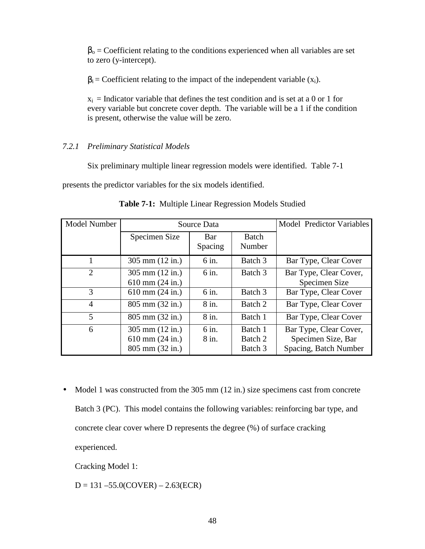$\beta_0$  = Coefficient relating to the conditions experienced when all variables are set to zero (y-intercept).

 $\beta_i$  = Coefficient relating to the impact of the independent variable (x<sub>i</sub>).

 $x_i$  = Indicator variable that defines the test condition and is set at a 0 or 1 for every variable but concrete cover depth. The variable will be a 1 if the condition is present, otherwise the value will be zero.

# *7.2.1 Preliminary Statistical Models*

Six preliminary multiple linear regression models were identified. Table 7-1

presents the predictor variables for the six models identified.

| <b>Model Number</b> | Source Data                       |         |         | <b>Model Predictor Variables</b> |
|---------------------|-----------------------------------|---------|---------|----------------------------------|
|                     | Specimen Size                     | Bar     | Batch   |                                  |
|                     |                                   | Spacing | Number  |                                  |
|                     | $305 \text{ mm} (12 \text{ in.})$ | 6 in.   | Batch 3 | Bar Type, Clear Cover            |
| $\overline{2}$      | 305 mm (12 in.)                   | 6 in.   | Batch 3 | Bar Type, Clear Cover,           |
|                     | $610 \text{ mm} (24 \text{ in.})$ |         |         | Specimen Size                    |
| 3                   | $610$ mm $(24$ in.)               | 6 in.   | Batch 3 | Bar Type, Clear Cover            |
| $\overline{4}$      | $805$ mm $(32$ in.)               | 8 in.   | Batch 2 | Bar Type, Clear Cover            |
| 5                   | 805 mm (32 in.)                   | 8 in.   | Batch 1 | Bar Type, Clear Cover            |
| 6                   | $305 \text{ mm} (12 \text{ in.})$ | 6 in.   | Batch 1 | Bar Type, Clear Cover,           |
|                     | $610$ mm $(24$ in.)               | 8 in.   | Batch 2 | Specimen Size, Bar               |
|                     | 805 mm (32 in.)                   |         | Batch 3 | Spacing, Batch Number            |

**Table 7-1:** Multiple Linear Regression Models Studied

• Model 1 was constructed from the 305 mm (12 in.) size specimens cast from concrete Batch 3 (PC). This model contains the following variables: reinforcing bar type, and concrete clear cover where D represents the degree (%) of surface cracking experienced.

Cracking Model 1:

 $D = 131 - 55.0(CoverR) - 2.63(ECR)$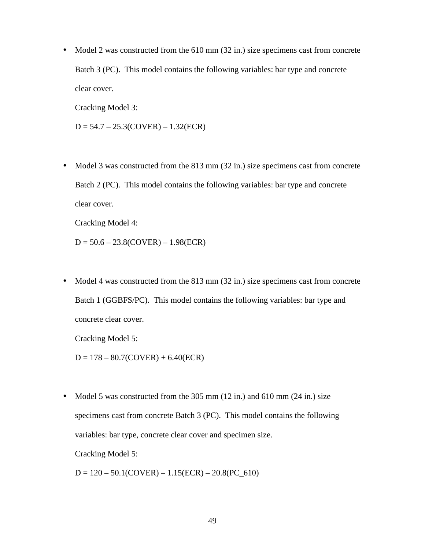• Model 2 was constructed from the 610 mm (32 in.) size specimens cast from concrete Batch 3 (PC). This model contains the following variables: bar type and concrete clear cover.

Cracking Model 3:

 $D = 54.7 - 25.3(CoverR) - 1.32(ECR)$ 

• Model 3 was constructed from the 813 mm (32 in.) size specimens cast from concrete Batch 2 (PC). This model contains the following variables: bar type and concrete clear cover.

Cracking Model 4:

 $D = 50.6 - 23.8(CoverR) - 1.98(ECR)$ 

• Model 4 was constructed from the 813 mm (32 in.) size specimens cast from concrete Batch 1 (GGBFS/PC). This model contains the following variables: bar type and concrete clear cover.

Cracking Model 5:

 $D = 178 - 80.7(CoverR) + 6.40(ECR)$ 

• Model 5 was constructed from the 305 mm (12 in.) and 610 mm (24 in.) size specimens cast from concrete Batch 3 (PC). This model contains the following variables: bar type, concrete clear cover and specimen size.

Cracking Model 5:

 $D = 120 - 50.1(CoverR) - 1.15(ECR) - 20.8(PC_610)$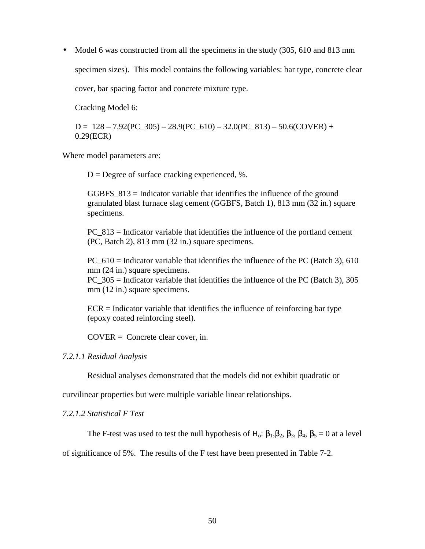• Model 6 was constructed from all the specimens in the study (305, 610 and 813 mm specimen sizes). This model contains the following variables: bar type, concrete clear cover, bar spacing factor and concrete mixture type.

Cracking Model 6:

 $D = 128 - 7.92(PC_305) - 28.9(PC_610) - 32.0(PC_813) - 50.6(COWER) +$ 0.29(ECR)

Where model parameters are:

 $D =$  Degree of surface cracking experienced, %.

GGBFS  $813$  = Indicator variable that identifies the influence of the ground granulated blast furnace slag cement (GGBFS, Batch 1), 813 mm (32 in.) square specimens.

PC\_813 = Indicator variable that identifies the influence of the portland cement (PC, Batch 2), 813 mm (32 in.) square specimens.

PC\_610 = Indicator variable that identifies the influence of the PC (Batch 3), 610 mm (24 in.) square specimens.

PC\_305 = Indicator variable that identifies the influence of the PC (Batch 3), 305 mm (12 in.) square specimens.

ECR = Indicator variable that identifies the influence of reinforcing bar type (epoxy coated reinforcing steel).

COVER = Concrete clear cover, in.

### *7.2.1.1 Residual Analysis*

Residual analyses demonstrated that the models did not exhibit quadratic or

curvilinear properties but were multiple variable linear relationships.

*7.2.1.2 Statistical F Test* 

The F-test was used to test the null hypothesis of H<sub>0</sub>:  $\beta_1$ ,  $\beta_2$ ,  $\beta_3$ ,  $\beta_4$ ,  $\beta_5 = 0$  at a level

of significance of 5%. The results of the F test have been presented in Table 7-2.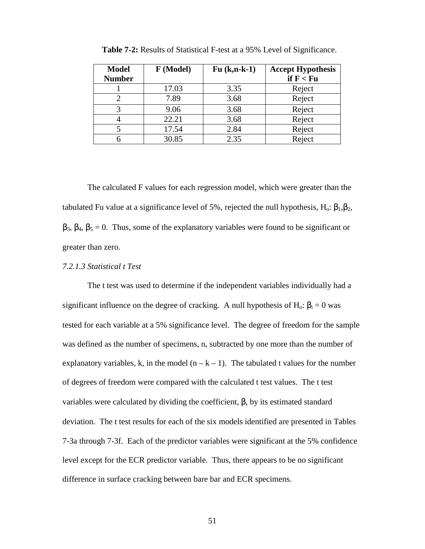| <b>Model</b><br><b>Number</b> | F (Model) | $Fu(k,n-k-1)$ | <b>Accept Hypothesis</b><br>if $F < Fu$ |
|-------------------------------|-----------|---------------|-----------------------------------------|
|                               | 17.03     | 3.35          | Reject                                  |
|                               | 7.89      | 3.68          | Reject                                  |
|                               | 9.06      | 3.68          | Reject                                  |
|                               | 22.21     | 3.68          | Reject                                  |
|                               | 17.54     | 2.84          | Reject                                  |
|                               | 30.85     | 2.35          | Reject                                  |

 **Table 7-2:** Results of Statistical F-test at a 95% Level of Significance.

The calculated F values for each regression model, which were greater than the tabulated Fu value at a significance level of 5%, rejected the null hypothesis, H<sub>o</sub>:  $\beta_1, \beta_2$ ,  $\beta_3$ ,  $\beta_4$ ,  $\beta_5 = 0$ . Thus, some of the explanatory variables were found to be significant or greater than zero.

# *7.2.1.3 Statistical t Test*

The t test was used to determine if the independent variables individually had a significant influence on the degree of cracking. A null hypothesis of H<sub>o</sub>:  $\beta_i = 0$  was tested for each variable at a 5% significance level. The degree of freedom for the sample was defined as the number of specimens, n, subtracted by one more than the number of explanatory variables, k, in the model  $(n - k - 1)$ . The tabulated t values for the number of degrees of freedom were compared with the calculated t test values. The t test variables were calculated by dividing the coefficient, β, by its estimated standard deviation. The t test results for each of the six models identified are presented in Tables 7-3a through 7-3f. Each of the predictor variables were significant at the 5% confidence level except for the ECR predictor variable. Thus, there appears to be no significant difference in surface cracking between bare bar and ECR specimens.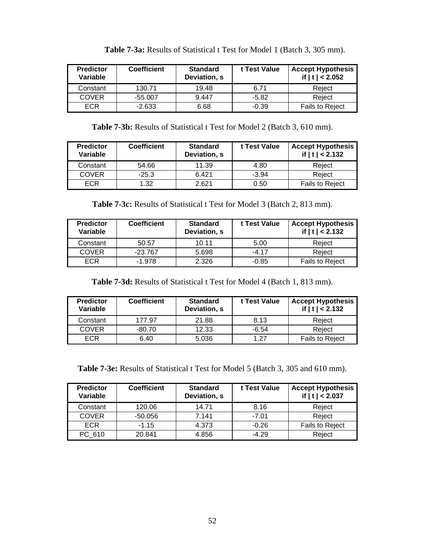| <b>Predictor</b><br>Variable | <b>Coefficient</b> | <b>Standard</b><br>Deviation, s | t Test Value | <b>Accept Hypothesis</b><br>if $ t  < 2.052$ |
|------------------------------|--------------------|---------------------------------|--------------|----------------------------------------------|
| Constant                     | 130.71             | 19.48                           | 6.71         | Reject                                       |
| <b>COVER</b>                 | $-55.007$          | 9.447                           | $-5.82$      | Reject                                       |
| <b>ECR</b>                   | $-2.633$           | 6.68                            | $-0.39$      | <b>Fails to Reject</b>                       |

**Table 7-3a:** Results of Statistical t Test for Model 1 (Batch 3, 305 mm).

**Table 7-3b:** Results of Statistical t Test for Model 2 (Batch 3, 610 mm).

| <b>Predictor</b><br>Variable | <b>Coefficient</b> | <b>Standard</b><br>Deviation, s | t Test Value | <b>Accept Hypothesis</b><br>if $ t  < 2.132$ |
|------------------------------|--------------------|---------------------------------|--------------|----------------------------------------------|
| Constant                     | 54.66              | 11.39                           | 4.80         | Reiect                                       |
| <b>COVER</b>                 | $-25.3$            | 6.421                           | $-3.94$      | Reiect                                       |
| <b>ECR</b>                   | 1.32               | 2.621                           | 0.50         | <b>Fails to Reject</b>                       |

**Table 7-3c:** Results of Statistical t Test for Model 3 (Batch 2, 813 mm).

| <b>Predictor</b><br>Variable | <b>Coefficient</b> | <b>Standard</b><br>Deviation, s | t Test Value | <b>Accept Hypothesis</b><br>if $ t  < 2.132$ |
|------------------------------|--------------------|---------------------------------|--------------|----------------------------------------------|
| Constant                     | 50.57              | 10.11                           | 5.00         | Reject                                       |
| <b>COVER</b>                 | $-23.767$          | 5.698                           | $-4.17$      | Reiect                                       |
| ECR                          | $-1.978$           | 2.326                           | $-0.85$      | <b>Fails to Reject</b>                       |

**Table 7-3d:** Results of Statistical t Test for Model 4 (Batch 1, 813 mm).

| <b>Predictor</b><br>Variable | <b>Coefficient</b> | <b>Standard</b><br>Deviation, s | t Test Value | <b>Accept Hypothesis</b><br>if $ t  < 2.132$ |
|------------------------------|--------------------|---------------------------------|--------------|----------------------------------------------|
| Constant                     | 177.97             | 21.88                           | 8.13         | Reject                                       |
| <b>COVER</b>                 | $-80.70$           | 12.33                           | $-6.54$      | Reiect                                       |
| <b>ECR</b>                   | 6.40               | 5.036                           | 1 27         | <b>Fails to Reject</b>                       |

**Table 7-3e:** Results of Statistical t Test for Model 5 (Batch 3, 305 and 610 mm).

| <b>Predictor</b><br>Variable | <b>Coefficient</b> | <b>Standard</b><br>Deviation, s | t Test Value | <b>Accept Hypothesis</b><br>if $ t  < 2.037$ |
|------------------------------|--------------------|---------------------------------|--------------|----------------------------------------------|
| Constant                     | 120.06             | 14.71                           | 8.16         | Reject                                       |
| <b>COVER</b>                 | -50.056            | 7.141                           | $-7.01$      | Reject                                       |
| <b>ECR</b>                   | $-1.15$            | 4.373                           | $-0.26$      | Fails to Reject                              |
| PC 610                       | 20.841             | 4.856                           | $-4.29$      | Reject                                       |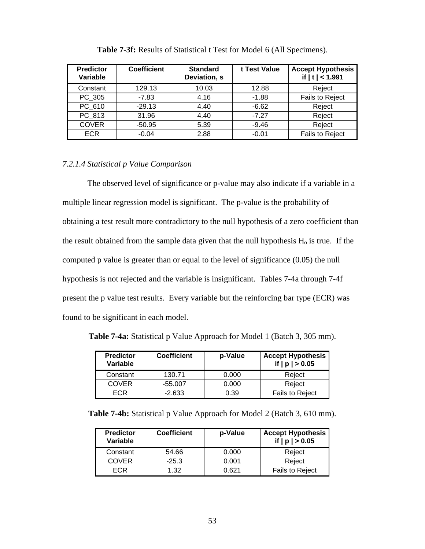| <b>Predictor</b><br>Variable | <b>Coefficient</b> | <b>Standard</b><br>Deviation, s | t Test Value | <b>Accept Hypothesis</b><br>if $ t  < 1.991$ |
|------------------------------|--------------------|---------------------------------|--------------|----------------------------------------------|
| Constant                     | 129.13             | 10.03                           | 12.88        | Reject                                       |
| PC 305                       | $-7.83$            | 4.16                            | $-1.88$      | Fails to Reject                              |
| PC 610                       | $-29.13$           | 4.40                            | $-6.62$      | Reject                                       |
| PC 813                       | 31.96              | 4.40                            | $-7.27$      | Reject                                       |
| <b>COVER</b>                 | $-50.95$           | 5.39                            | $-9.46$      | Reject                                       |
| <b>ECR</b>                   | $-0.04$            | 2.88                            | $-0.01$      | Fails to Reject                              |

**Table 7-3f:** Results of Statistical t Test for Model 6 (All Specimens).

# *7.2.1.4 Statistical p Value Comparison*

 The observed level of significance or p-value may also indicate if a variable in a multiple linear regression model is significant. The p-value is the probability of obtaining a test result more contradictory to the null hypothesis of a zero coefficient than the result obtained from the sample data given that the null hypothesis  $H_0$  is true. If the computed p value is greater than or equal to the level of significance (0.05) the null hypothesis is not rejected and the variable is insignificant. Tables 7-4a through 7-4f present the p value test results. Every variable but the reinforcing bar type (ECR) was found to be significant in each model.

| <b>Predictor</b><br>Variable | <b>Coefficient</b> | p-Value | <b>Accept Hypothesis</b><br>if $ p  > 0.05$ |
|------------------------------|--------------------|---------|---------------------------------------------|
| Constant                     | 130.71             | 0.000   | Reject                                      |
| <b>COVER</b>                 | $-55.007$          | 0.000   | Reject                                      |
| ECR                          | $-2.633$           | 0.39    | <b>Fails to Reject</b>                      |

**Table 7-4a:** Statistical p Value Approach for Model 1 (Batch 3, 305 mm).

|  |  | Table 7-4b: Statistical p Value Approach for Model 2 (Batch 3, 610 mm). |  |  |  |
|--|--|-------------------------------------------------------------------------|--|--|--|
|--|--|-------------------------------------------------------------------------|--|--|--|

| <b>Predictor</b><br>Variable | <b>Coefficient</b> | p-Value | <b>Accept Hypothesis</b><br>if $ p  > 0.05$ |
|------------------------------|--------------------|---------|---------------------------------------------|
| Constant                     | 54.66              | 0.000   | Reject                                      |
| <b>COVER</b>                 | $-25.3$            | 0.001   | Reject                                      |
| ECR                          | 1.32               | በ 621   | <b>Fails to Reject</b>                      |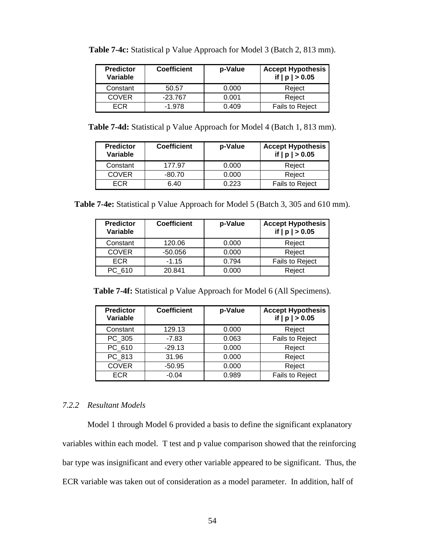| <b>Predictor</b><br>Variable | <b>Coefficient</b> | p-Value | <b>Accept Hypothesis</b><br>if $ p  > 0.05$ |
|------------------------------|--------------------|---------|---------------------------------------------|
| Constant                     | 50.57              | 0.000   | Reject                                      |
| <b>COVER</b>                 | $-23.767$          | 0.001   | Reject                                      |
| ECR.                         | $-1.978$           | 0.409   | Fails to Reject                             |

Table 7-4c: Statistical p Value Approach for Model 3 (Batch 2, 813 mm).

**Table 7-4d:** Statistical p Value Approach for Model 4 (Batch 1, 813 mm).

| <b>Predictor</b><br>Variable | <b>Coefficient</b> | p-Value | <b>Accept Hypothesis</b><br>if $ p  > 0.05$ |
|------------------------------|--------------------|---------|---------------------------------------------|
| Constant                     | 177.97             | 0.000   | Reject                                      |
| <b>COVER</b>                 | $-80.70$           | 0.000   | Reject                                      |
| FCR                          | 6.40               | 0.223   | <b>Fails to Reject</b>                      |

**Table 7-4e:** Statistical p Value Approach for Model 5 (Batch 3, 305 and 610 mm).

| <b>Predictor</b><br>Variable | <b>Coefficient</b> | p-Value | <b>Accept Hypothesis</b><br>if $ p  > 0.05$ |
|------------------------------|--------------------|---------|---------------------------------------------|
| Constant                     | 120.06             | 0.000   | Reject                                      |
| <b>COVER</b>                 | $-50.056$          | 0.000   | Reject                                      |
| <b>ECR</b>                   | $-1.15$            | 0.794   | Fails to Reject                             |
| PC 610                       | 20.841             | 0.000   | Reject                                      |

**Table 7-4f:** Statistical p Value Approach for Model 6 (All Specimens).

| <b>Predictor</b><br>Variable | <b>Coefficient</b> | p-Value | <b>Accept Hypothesis</b><br>if $ p  > 0.05$ |
|------------------------------|--------------------|---------|---------------------------------------------|
| Constant                     | 129.13             | 0.000   | Reject                                      |
| PC 305                       | $-7.83$            | 0.063   | Fails to Reject                             |
| PC 610                       | $-29.13$           | 0.000   | Reject                                      |
| PC_813                       | 31.96              | 0.000   | Reject                                      |
| <b>COVER</b>                 | $-50.95$           | 0.000   | Reject                                      |
| <b>ECR</b>                   | $-0.04$            | 0.989   | Fails to Reject                             |

# *7.2.2 Resultant Models*

 Model 1 through Model 6 provided a basis to define the significant explanatory variables within each model. T test and p value comparison showed that the reinforcing bar type was insignificant and every other variable appeared to be significant. Thus, the ECR variable was taken out of consideration as a model parameter. In addition, half of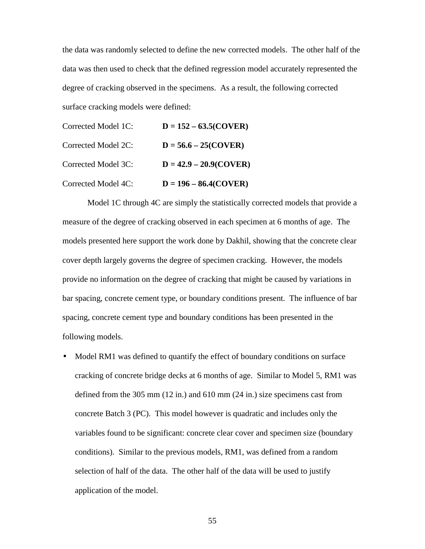the data was randomly selected to define the new corrected models. The other half of the data was then used to check that the defined regression model accurately represented the degree of cracking observed in the specimens. As a result, the following corrected surface cracking models were defined:

| Corrected Model 1C: | $D = 152 - 63.5(COVER)$  |
|---------------------|--------------------------|
| Corrected Model 2C: | $D = 56.6 - 25(Cover R)$ |
| Corrected Model 3C: | $D = 42.9 - 20.9(COVER)$ |
| Corrected Model 4C: | $D = 196 - 86.4$ (COVER) |

Model 1C through 4C are simply the statistically corrected models that provide a measure of the degree of cracking observed in each specimen at 6 months of age. The models presented here support the work done by Dakhil, showing that the concrete clear cover depth largely governs the degree of specimen cracking. However, the models provide no information on the degree of cracking that might be caused by variations in bar spacing, concrete cement type, or boundary conditions present. The influence of bar spacing, concrete cement type and boundary conditions has been presented in the following models.

Model RM1 was defined to quantify the effect of boundary conditions on surface cracking of concrete bridge decks at 6 months of age. Similar to Model 5, RM1 was defined from the 305 mm (12 in.) and 610 mm (24 in.) size specimens cast from concrete Batch 3 (PC). This model however is quadratic and includes only the variables found to be significant: concrete clear cover and specimen size (boundary conditions). Similar to the previous models, RM1, was defined from a random selection of half of the data. The other half of the data will be used to justify application of the model.

55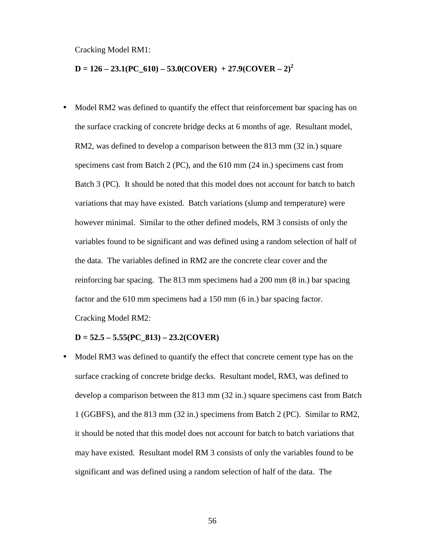Cracking Model RM1:

# $D = 126 - 23.1(PC_610) - 53.0(COVER) + 27.9(COVER - 2)<sup>2</sup>$

Model RM2 was defined to quantify the effect that reinforcement bar spacing has on the surface cracking of concrete bridge decks at 6 months of age. Resultant model, RM2, was defined to develop a comparison between the 813 mm (32 in.) square specimens cast from Batch 2 (PC), and the 610 mm (24 in.) specimens cast from Batch 3 (PC). It should be noted that this model does not account for batch to batch variations that may have existed. Batch variations (slump and temperature) were however minimal. Similar to the other defined models, RM 3 consists of only the variables found to be significant and was defined using a random selection of half of the data. The variables defined in RM2 are the concrete clear cover and the reinforcing bar spacing. The 813 mm specimens had a 200 mm (8 in.) bar spacing factor and the 610 mm specimens had a 150 mm (6 in.) bar spacing factor. Cracking Model RM2:

### **D = 52.5 – 5.55(PC\_813) – 23.2(COVER)**

Model RM3 was defined to quantify the effect that concrete cement type has on the surface cracking of concrete bridge decks. Resultant model, RM3, was defined to develop a comparison between the 813 mm (32 in.) square specimens cast from Batch 1 (GGBFS), and the 813 mm (32 in.) specimens from Batch 2 (PC). Similar to RM2, it should be noted that this model does not account for batch to batch variations that may have existed. Resultant model RM 3 consists of only the variables found to be significant and was defined using a random selection of half of the data. The

56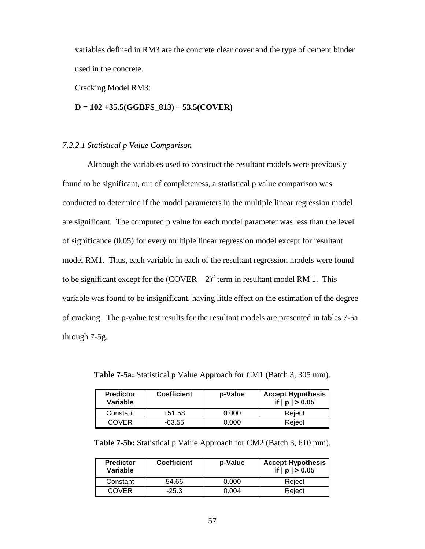variables defined in RM3 are the concrete clear cover and the type of cement binder used in the concrete.

Cracking Model RM3:

### **D = 102 +35.5(GGBFS\_813) – 53.5(COVER)**

### *7.2.2.1 Statistical p Value Comparison*

Although the variables used to construct the resultant models were previously found to be significant, out of completeness, a statistical p value comparison was conducted to determine if the model parameters in the multiple linear regression model are significant. The computed p value for each model parameter was less than the level of significance (0.05) for every multiple linear regression model except for resultant model RM1. Thus, each variable in each of the resultant regression models were found to be significant except for the  $(Cover - 2)^2$  term in resultant model RM 1. This variable was found to be insignificant, having little effect on the estimation of the degree of cracking. The p-value test results for the resultant models are presented in tables 7-5a through 7-5g.

| <b>Predictor</b><br>Variable | <b>Coefficient</b> | p-Value | <b>Accept Hypothesis</b><br>if $ p  > 0.05$ |
|------------------------------|--------------------|---------|---------------------------------------------|
| Constant                     | 151.58             | 0.000   | Reject                                      |
| COVER                        | -63.55             | 0.000   | Reject                                      |

**Table 7-5a:** Statistical p Value Approach for CM1 (Batch 3, 305 mm).

**Table 7-5b:** Statistical p Value Approach for CM2 (Batch 3, 610 mm).

| <b>Predictor</b><br>Variable | <b>Coefficient</b> | p-Value | <b>Accept Hypothesis</b><br>if $ p  > 0.05$ |  |  |
|------------------------------|--------------------|---------|---------------------------------------------|--|--|
| Constant                     | 54.66              | 0.000   | Reiect                                      |  |  |
| <b>COVER</b>                 | $-25.3$            | 0.004   | Reject                                      |  |  |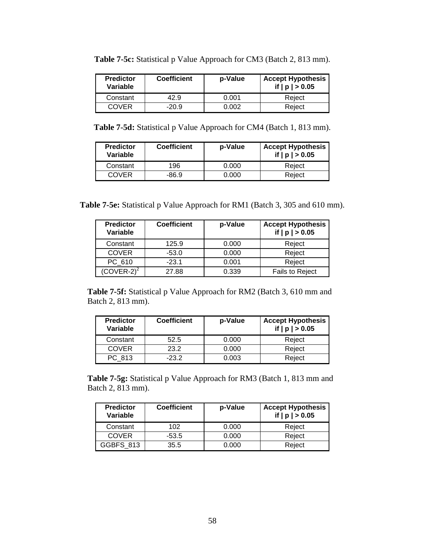| <b>Predictor</b><br>Variable | <b>Coefficient</b> | p-Value | <b>Accept Hypothesis</b><br>if $ p  > 0.05$ |  |  |
|------------------------------|--------------------|---------|---------------------------------------------|--|--|
| Constant                     | 42.9               | 0.001   | Reiect                                      |  |  |
| COVER                        | -20.9              | 0 002   | Reiect                                      |  |  |

**Table 7-5c:** Statistical p Value Approach for CM3 (Batch 2, 813 mm).

**Table 7-5d:** Statistical p Value Approach for CM4 (Batch 1, 813 mm).

| <b>Predictor</b><br>Variable | <b>Coefficient</b> | p-Value | <b>Accept Hypothesis</b><br>if $ p  > 0.05$ |  |
|------------------------------|--------------------|---------|---------------------------------------------|--|
| Constant                     | 196                | 0.000   | Reject                                      |  |
| <b>COVER</b>                 | -86.9              | 0.000   | Reject                                      |  |

**Table 7-5e:** Statistical p Value Approach for RM1 (Batch 3, 305 and 610 mm).

| <b>Predictor</b><br>Variable | <b>Coefficient</b> | p-Value | <b>Accept Hypothesis</b><br>if $ p  > 0.05$ |  |  |
|------------------------------|--------------------|---------|---------------------------------------------|--|--|
| Constant                     | 125.9              | 0.000   | Reject                                      |  |  |
| <b>COVER</b>                 | $-53.0$            | 0.000   | Reject                                      |  |  |
| PC 610                       | $-23.1$            | 0.001   | Reject                                      |  |  |
| $\text{COVER-2}^2$           | 27.88              | 0.339   | <b>Fails to Reject</b>                      |  |  |

**Table 7-5f:** Statistical p Value Approach for RM2 (Batch 3, 610 mm and Batch 2, 813 mm).

| <b>Predictor</b><br>Variable | <b>Coefficient</b> | p-Value | <b>Accept Hypothesis</b><br>if $ p  > 0.05$ |  |  |
|------------------------------|--------------------|---------|---------------------------------------------|--|--|
| Constant                     | 52.5               | 0.000   | Reject                                      |  |  |
| <b>COVER</b>                 | 23.2               | 0.000   | Reject                                      |  |  |
| PC 813                       | $-23.2$            | 0.003   | Reject                                      |  |  |

**Table 7-5g:** Statistical p Value Approach for RM3 (Batch 1, 813 mm and Batch 2, 813 mm).

| <b>Predictor</b><br>Variable | <b>Coefficient</b><br>p-Value |       | <b>Accept Hypothesis</b><br>if $ p  > 0.05$ |  |  |
|------------------------------|-------------------------------|-------|---------------------------------------------|--|--|
| Constant                     | 102                           | 0.000 | Reject                                      |  |  |
| <b>COVER</b>                 | $-53.5$                       | 0.000 | Reject                                      |  |  |
| <b>GGBFS 813</b>             | 35.5                          | 0.000 | Reject                                      |  |  |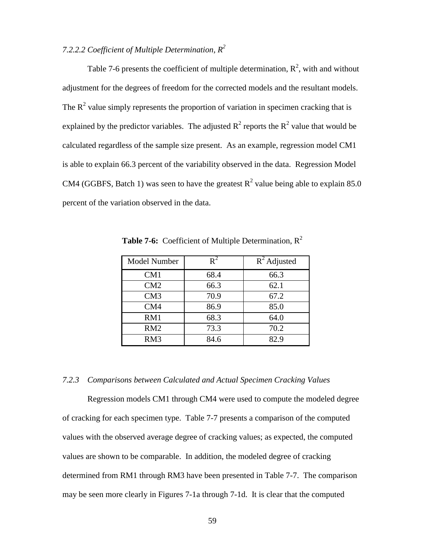# *7.2.2.2 Coefficient of Multiple Determination, R2*

Table 7-6 presents the coefficient of multiple determination,  $R^2$ , with and without adjustment for the degrees of freedom for the corrected models and the resultant models. The  $R<sup>2</sup>$  value simply represents the proportion of variation in specimen cracking that is explained by the predictor variables. The adjusted  $R^2$  reports the  $R^2$  value that would be calculated regardless of the sample size present. As an example, regression model CM1 is able to explain 66.3 percent of the variability observed in the data. Regression Model CM4 (GGBFS, Batch 1) was seen to have the greatest  $R^2$  value being able to explain 85.0 percent of the variation observed in the data.

| <b>Model Number</b> | $R^2$ | $\overline{R}^2$ Adjusted |  |  |
|---------------------|-------|---------------------------|--|--|
| CM1                 | 68.4  | 66.3                      |  |  |
| CM2                 | 66.3  | 62.1                      |  |  |
| CM3                 | 70.9  | 67.2                      |  |  |
| CM4                 | 86.9  | 85.0                      |  |  |
| RM1                 | 68.3  | 64.0                      |  |  |
| RM2                 | 73.3  | 70.2                      |  |  |
| RM <sub>3</sub>     | 84.6  | 82.9                      |  |  |

Table 7-6: Coefficient of Multiple Determination,  $R^2$ 

# *7.2.3 Comparisons between Calculated and Actual Specimen Cracking Values*

Regression models CM1 through CM4 were used to compute the modeled degree of cracking for each specimen type. Table 7-7 presents a comparison of the computed values with the observed average degree of cracking values; as expected, the computed values are shown to be comparable. In addition, the modeled degree of cracking determined from RM1 through RM3 have been presented in Table 7-7. The comparison may be seen more clearly in Figures 7-1a through 7-1d. It is clear that the computed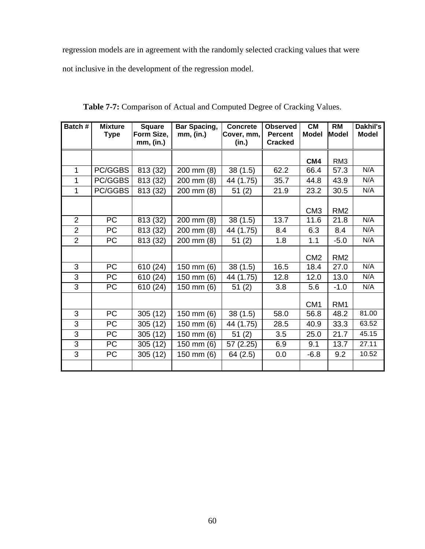regression models are in agreement with the randomly selected cracking values that were not inclusive in the development of the regression model.

| Batch #        | <b>Mixture</b><br><b>Type</b> | <b>Square</b><br>Form Size,<br>mm, (in.) | <b>Bar Spacing,</b><br>mm, (in.) | <b>Concrete</b><br>Cover, mm,<br>(in.) | <b>Observed</b><br><b>Percent</b><br><b>Cracked</b> | <b>CM</b><br><b>Model</b> | <b>RM</b><br>Model | <b>Dakhil's</b><br><b>Model</b> |
|----------------|-------------------------------|------------------------------------------|----------------------------------|----------------------------------------|-----------------------------------------------------|---------------------------|--------------------|---------------------------------|
|                |                               |                                          |                                  |                                        |                                                     | CM4                       | RM <sub>3</sub>    |                                 |
| 1              | PC/GGBS                       | 813 (32)                                 | 200 mm (8)                       | 38(1.5)                                | 62.2                                                | 66.4                      | 57.3               | N/A                             |
| 1              | PC/GGBS                       | 813 (32)                                 | 200 mm (8)                       | 44 (1.75)                              | 35.7                                                | 44.8                      | 43.9               | N/A                             |
| 1              | PC/GGBS                       | 813 (32)                                 | 200 mm (8)                       | 51(2)                                  | 21.9                                                | 23.2                      | 30.5               | N/A                             |
|                |                               |                                          |                                  |                                        |                                                     | CM <sub>3</sub>           | RM <sub>2</sub>    |                                 |
| $\overline{2}$ | PC                            | 813 (32)                                 | 200 mm (8)                       | 38(1.5)                                | 13.7                                                | 11.6                      | 21.8               | N/A                             |
| $\overline{2}$ | PC                            | 813 (32)                                 | 200 mm (8)                       | 44 (1.75)                              | 8.4                                                 | 6.3                       | 8.4                | N/A                             |
| $\overline{2}$ | <b>PC</b>                     | 813 (32)                                 | 200 mm (8)                       | 51(2)                                  | 1.8                                                 | 1.1                       | $-5.0$             | N/A                             |
|                |                               |                                          |                                  |                                        |                                                     | CM <sub>2</sub>           | RM <sub>2</sub>    |                                 |
| 3              | <b>PC</b>                     | 610 (24)                                 | 150 mm (6)                       | 38(1.5)                                | 16.5                                                | 18.4                      | 27.0               | N/A                             |
| 3              | <b>PC</b>                     | 610 (24)                                 | 150 mm (6)                       | 44 (1.75)                              | 12.8                                                | 12.0                      | 13.0               | N/A                             |
| 3              | PC                            | 610 (24)                                 | 150 mm (6)                       | 51(2)                                  | 3.8                                                 | 5.6                       | $-1.0$             | N/A                             |
|                |                               |                                          |                                  |                                        |                                                     | CM <sub>1</sub>           | RM <sub>1</sub>    |                                 |
| 3              | <b>PC</b>                     | 305(12)                                  | 150 mm (6)                       | 38(1.5)                                | 58.0                                                | 56.8                      | 48.2               | 81.00                           |
| 3              | <b>PC</b>                     | 305(12)                                  | 150 mm (6)                       | 44 (1.75)                              | 28.5                                                | 40.9                      | 33.3               | 63.52                           |
| 3              | <b>PC</b>                     | 305(12)                                  | 150 mm (6)                       | 51(2)                                  | 3.5                                                 | 25.0                      | 21.7               | 45.15                           |
| 3              | <b>PC</b>                     | 305(12)                                  | 150 mm (6)                       | 57 (2.25)                              | 6.9                                                 | 9.1                       | 13.7               | 27.11                           |
| 3              | PC                            | 305(12)                                  | 150 mm (6)                       | 64(2.5)                                | 0.0                                                 | $-6.8$                    | 9.2                | 10.52                           |
|                |                               |                                          |                                  |                                        |                                                     |                           |                    |                                 |

**Table 7-7:** Comparison of Actual and Computed Degree of Cracking Values.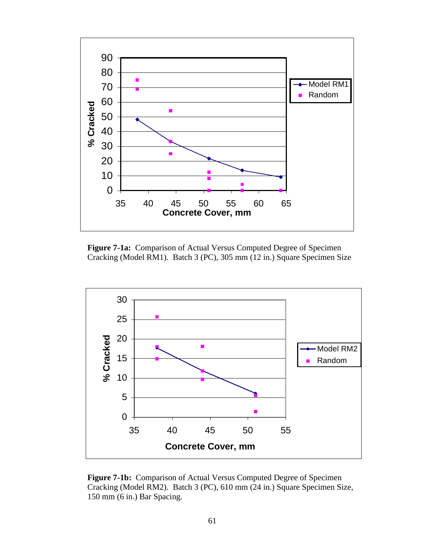

**Figure 7-1a:** Comparison of Actual Versus Computed Degree of Specimen Cracking (Model RM1). Batch 3 (PC), 305 mm (12 in.) Square Specimen Size



**Figure 7-1b:** Comparison of Actual Versus Computed Degree of Specimen Cracking (Model RM2). Batch 3 (PC), 610 mm (24 in.) Square Specimen Size, 150 mm (6 in.) Bar Spacing.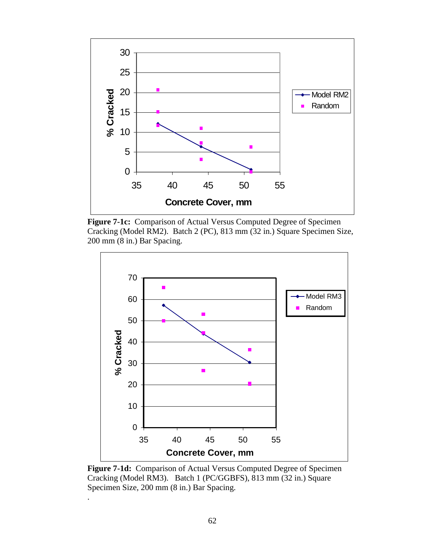

**Figure 7-1c:** Comparison of Actual Versus Computed Degree of Specimen Cracking (Model RM2). Batch 2 (PC), 813 mm (32 in.) Square Specimen Size, 200 mm (8 in.) Bar Spacing.



**Figure 7-1d:** Comparison of Actual Versus Computed Degree of Specimen Cracking (Model RM3). Batch 1 (PC/GGBFS), 813 mm (32 in.) Square Specimen Size, 200 mm (8 in.) Bar Spacing.

.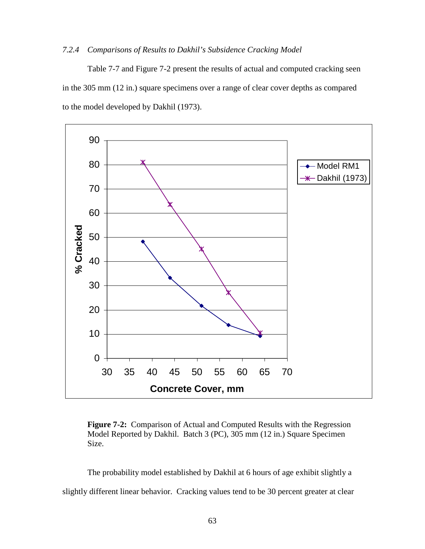# *7.2.4 Comparisons of Results to Dakhil's Subsidence Cracking Model*

Table 7-7 and Figure 7-2 present the results of actual and computed cracking seen in the 305 mm (12 in.) square specimens over a range of clear cover depths as compared to the model developed by Dakhil (1973).



**Figure 7-2:** Comparison of Actual and Computed Results with the Regression Model Reported by Dakhil. Batch 3 (PC), 305 mm (12 in.) Square Specimen Size.

The probability model established by Dakhil at 6 hours of age exhibit slightly a slightly different linear behavior. Cracking values tend to be 30 percent greater at clear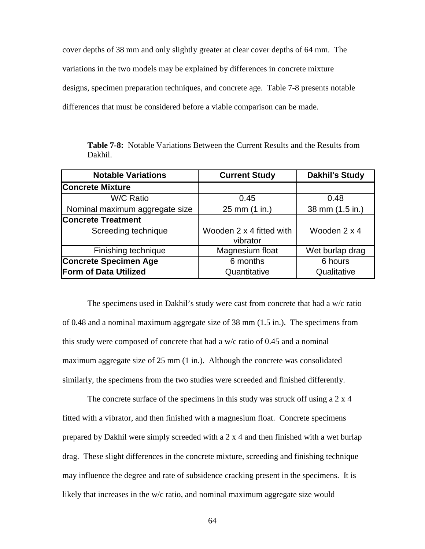cover depths of 38 mm and only slightly greater at clear cover depths of 64 mm. The variations in the two models may be explained by differences in concrete mixture designs, specimen preparation techniques, and concrete age. Table 7-8 presents notable differences that must be considered before a viable comparison can be made.

**Table 7-8:** Notable Variations Between the Current Results and the Results from Dakhil.

| <b>Notable Variations</b>      | <b>Current Study</b>                 | <b>Dakhil's Study</b> |  |
|--------------------------------|--------------------------------------|-----------------------|--|
| <b>Concrete Mixture</b>        |                                      |                       |  |
| W/C Ratio                      | 0.45                                 | 0.48                  |  |
| Nominal maximum aggregate size | 25 mm (1 in.)                        | 38 mm (1.5 in.)       |  |
| <b>Concrete Treatment</b>      |                                      |                       |  |
| Screeding technique            | Wooden 2 x 4 fitted with<br>vibrator | Wooden 2 x 4          |  |
| Finishing technique            | Magnesium float                      | Wet burlap drag       |  |
| <b>Concrete Specimen Age</b>   | 6 months                             | 6 hours               |  |
| <b>Form of Data Utilized</b>   | Quantitative                         | Qualitative           |  |

The specimens used in Dakhil's study were cast from concrete that had a w/c ratio of 0.48 and a nominal maximum aggregate size of 38 mm (1.5 in.). The specimens from this study were composed of concrete that had a w/c ratio of 0.45 and a nominal maximum aggregate size of 25 mm (1 in.). Although the concrete was consolidated similarly, the specimens from the two studies were screeded and finished differently.

The concrete surface of the specimens in this study was struck off using a 2 x 4 fitted with a vibrator, and then finished with a magnesium float. Concrete specimens prepared by Dakhil were simply screeded with a 2 x 4 and then finished with a wet burlap drag. These slight differences in the concrete mixture, screeding and finishing technique may influence the degree and rate of subsidence cracking present in the specimens. It is likely that increases in the w/c ratio, and nominal maximum aggregate size would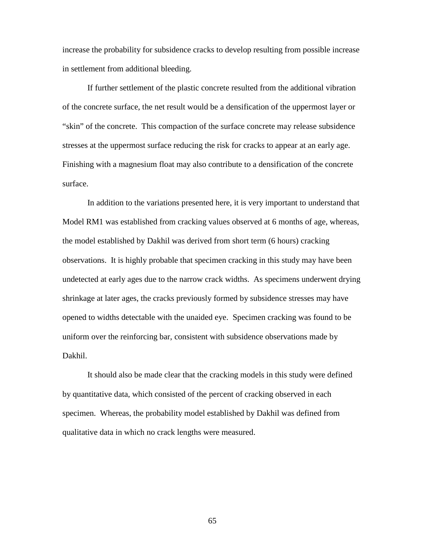increase the probability for subsidence cracks to develop resulting from possible increase in settlement from additional bleeding.

If further settlement of the plastic concrete resulted from the additional vibration of the concrete surface, the net result would be a densification of the uppermost layer or "skin" of the concrete. This compaction of the surface concrete may release subsidence stresses at the uppermost surface reducing the risk for cracks to appear at an early age. Finishing with a magnesium float may also contribute to a densification of the concrete surface.

In addition to the variations presented here, it is very important to understand that Model RM1 was established from cracking values observed at 6 months of age, whereas, the model established by Dakhil was derived from short term (6 hours) cracking observations. It is highly probable that specimen cracking in this study may have been undetected at early ages due to the narrow crack widths. As specimens underwent drying shrinkage at later ages, the cracks previously formed by subsidence stresses may have opened to widths detectable with the unaided eye. Specimen cracking was found to be uniform over the reinforcing bar, consistent with subsidence observations made by Dakhil.

It should also be made clear that the cracking models in this study were defined by quantitative data, which consisted of the percent of cracking observed in each specimen. Whereas, the probability model established by Dakhil was defined from qualitative data in which no crack lengths were measured.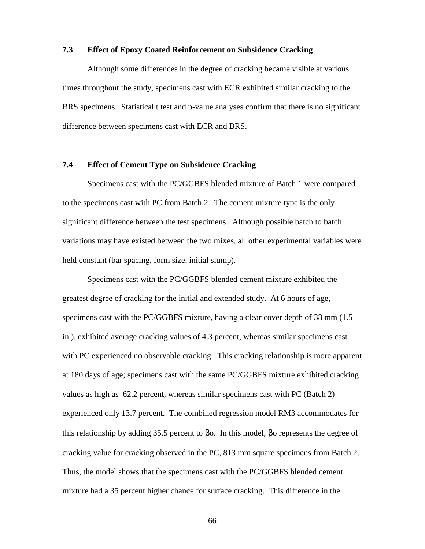### **7.3 Effect of Epoxy Coated Reinforcement on Subsidence Cracking**

Although some differences in the degree of cracking became visible at various times throughout the study, specimens cast with ECR exhibited similar cracking to the BRS specimens. Statistical t test and p-value analyses confirm that there is no significant difference between specimens cast with ECR and BRS.

## **7.4 Effect of Cement Type on Subsidence Cracking**

 Specimens cast with the PC/GGBFS blended mixture of Batch 1 were compared to the specimens cast with PC from Batch 2. The cement mixture type is the only significant difference between the test specimens. Although possible batch to batch variations may have existed between the two mixes, all other experimental variables were held constant (bar spacing, form size, initial slump).

 Specimens cast with the PC/GGBFS blended cement mixture exhibited the greatest degree of cracking for the initial and extended study. At 6 hours of age, specimens cast with the PC/GGBFS mixture, having a clear cover depth of 38 mm (1.5 in.), exhibited average cracking values of 4.3 percent, whereas similar specimens cast with PC experienced no observable cracking. This cracking relationship is more apparent at 180 days of age; specimens cast with the same PC/GGBFS mixture exhibited cracking values as high as 62.2 percent, whereas similar specimens cast with PC (Batch 2) experienced only 13.7 percent. The combined regression model RM3 accommodates for this relationship by adding 35.5 percent to βo. In this model, βo represents the degree of cracking value for cracking observed in the PC, 813 mm square specimens from Batch 2. Thus, the model shows that the specimens cast with the PC/GGBFS blended cement mixture had a 35 percent higher chance for surface cracking. This difference in the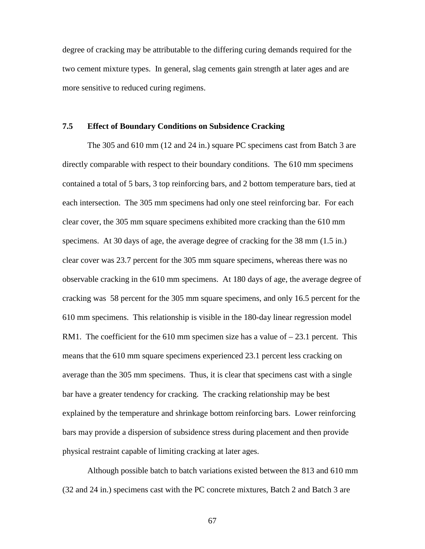degree of cracking may be attributable to the differing curing demands required for the two cement mixture types. In general, slag cements gain strength at later ages and are more sensitive to reduced curing regimens.

## **7.5 Effect of Boundary Conditions on Subsidence Cracking**

The 305 and 610 mm (12 and 24 in.) square PC specimens cast from Batch 3 are directly comparable with respect to their boundary conditions. The 610 mm specimens contained a total of 5 bars, 3 top reinforcing bars, and 2 bottom temperature bars, tied at each intersection. The 305 mm specimens had only one steel reinforcing bar. For each clear cover, the 305 mm square specimens exhibited more cracking than the 610 mm specimens. At 30 days of age, the average degree of cracking for the 38 mm (1.5 in.) clear cover was 23.7 percent for the 305 mm square specimens, whereas there was no observable cracking in the 610 mm specimens. At 180 days of age, the average degree of cracking was 58 percent for the 305 mm square specimens, and only 16.5 percent for the 610 mm specimens. This relationship is visible in the 180-day linear regression model RM1. The coefficient for the 610 mm specimen size has a value of  $-23.1$  percent. This means that the 610 mm square specimens experienced 23.1 percent less cracking on average than the 305 mm specimens. Thus, it is clear that specimens cast with a single bar have a greater tendency for cracking. The cracking relationship may be best explained by the temperature and shrinkage bottom reinforcing bars. Lower reinforcing bars may provide a dispersion of subsidence stress during placement and then provide physical restraint capable of limiting cracking at later ages.

Although possible batch to batch variations existed between the 813 and 610 mm (32 and 24 in.) specimens cast with the PC concrete mixtures, Batch 2 and Batch 3 are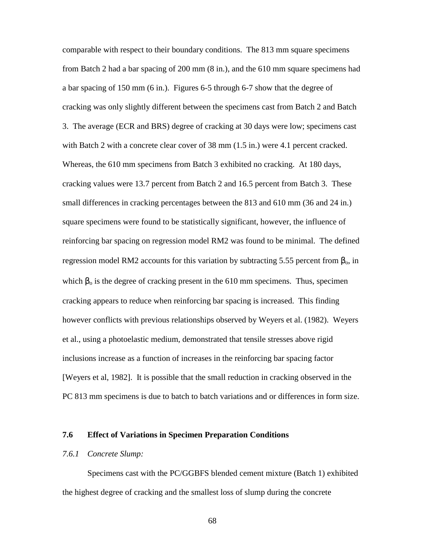comparable with respect to their boundary conditions. The 813 mm square specimens from Batch 2 had a bar spacing of 200 mm (8 in.), and the 610 mm square specimens had a bar spacing of 150 mm (6 in.). Figures 6-5 through 6-7 show that the degree of cracking was only slightly different between the specimens cast from Batch 2 and Batch 3. The average (ECR and BRS) degree of cracking at 30 days were low; specimens cast with Batch 2 with a concrete clear cover of 38 mm (1.5 in.) were 4.1 percent cracked. Whereas, the 610 mm specimens from Batch 3 exhibited no cracking. At 180 days, cracking values were 13.7 percent from Batch 2 and 16.5 percent from Batch 3. These small differences in cracking percentages between the 813 and 610 mm (36 and 24 in.) square specimens were found to be statistically significant, however, the influence of reinforcing bar spacing on regression model RM2 was found to be minimal. The defined regression model RM2 accounts for this variation by subtracting 5.55 percent from  $β_0$ , in which  $\beta_0$  is the degree of cracking present in the 610 mm specimens. Thus, specimen cracking appears to reduce when reinforcing bar spacing is increased. This finding however conflicts with previous relationships observed by Weyers et al. (1982). Weyers et al., using a photoelastic medium, demonstrated that tensile stresses above rigid inclusions increase as a function of increases in the reinforcing bar spacing factor [Weyers et al, 1982]. It is possible that the small reduction in cracking observed in the PC 813 mm specimens is due to batch to batch variations and or differences in form size.

## **7.6 Effect of Variations in Specimen Preparation Conditions**

#### *7.6.1 Concrete Slump:*

Specimens cast with the PC/GGBFS blended cement mixture (Batch 1) exhibited the highest degree of cracking and the smallest loss of slump during the concrete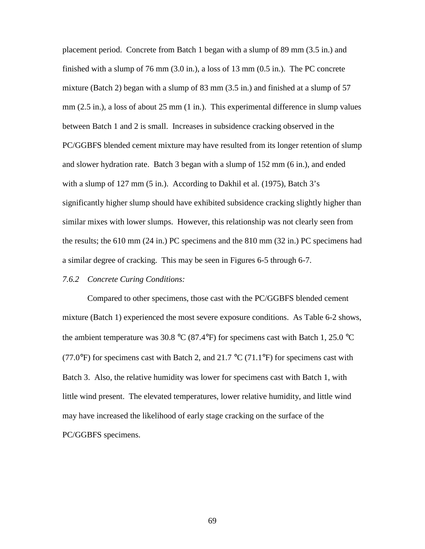placement period. Concrete from Batch 1 began with a slump of 89 mm (3.5 in.) and finished with a slump of 76 mm (3.0 in.), a loss of 13 mm (0.5 in.). The PC concrete mixture (Batch 2) began with a slump of 83 mm (3.5 in.) and finished at a slump of 57 mm (2.5 in.), a loss of about 25 mm (1 in.). This experimental difference in slump values between Batch 1 and 2 is small. Increases in subsidence cracking observed in the PC/GGBFS blended cement mixture may have resulted from its longer retention of slump and slower hydration rate. Batch 3 began with a slump of 152 mm (6 in.), and ended with a slump of 127 mm (5 in.). According to Dakhil et al. (1975), Batch 3's significantly higher slump should have exhibited subsidence cracking slightly higher than similar mixes with lower slumps. However, this relationship was not clearly seen from the results; the 610 mm (24 in.) PC specimens and the 810 mm (32 in.) PC specimens had a similar degree of cracking. This may be seen in Figures 6-5 through 6-7.

#### *7.6.2 Concrete Curing Conditions:*

Compared to other specimens, those cast with the PC/GGBFS blended cement mixture (Batch 1) experienced the most severe exposure conditions. As Table 6-2 shows, the ambient temperature was 30.8 °C (87.4°F) for specimens cast with Batch 1, 25.0 °C (77.0°F) for specimens cast with Batch 2, and  $21.7 \text{ °C}$  (71.1°F) for specimens cast with Batch 3. Also, the relative humidity was lower for specimens cast with Batch 1, with little wind present. The elevated temperatures, lower relative humidity, and little wind may have increased the likelihood of early stage cracking on the surface of the PC/GGBFS specimens.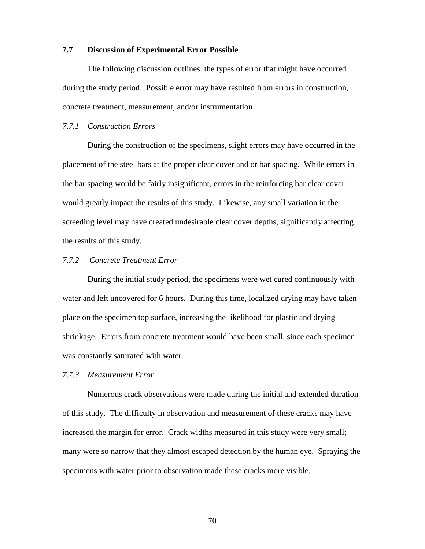### **7.7 Discussion of Experimental Error Possible**

 The following discussion outlines the types of error that might have occurred during the study period. Possible error may have resulted from errors in construction, concrete treatment, measurement, and/or instrumentation.

### *7.7.1 Construction Errors*

 During the construction of the specimens, slight errors may have occurred in the placement of the steel bars at the proper clear cover and or bar spacing. While errors in the bar spacing would be fairly insignificant, errors in the reinforcing bar clear cover would greatly impact the results of this study. Likewise, any small variation in the screeding level may have created undesirable clear cover depths, significantly affecting the results of this study.

# *7.7.2 Concrete Treatment Error*

 During the initial study period, the specimens were wet cured continuously with water and left uncovered for 6 hours. During this time, localized drying may have taken place on the specimen top surface, increasing the likelihood for plastic and drying shrinkage. Errors from concrete treatment would have been small, since each specimen was constantly saturated with water.

#### *7.7.3 Measurement Error*

Numerous crack observations were made during the initial and extended duration of this study. The difficulty in observation and measurement of these cracks may have increased the margin for error. Crack widths measured in this study were very small; many were so narrow that they almost escaped detection by the human eye. Spraying the specimens with water prior to observation made these cracks more visible.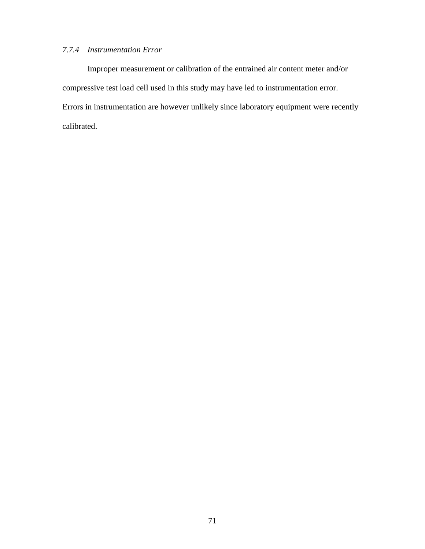# *7.7.4 Instrumentation Error*

 Improper measurement or calibration of the entrained air content meter and/or compressive test load cell used in this study may have led to instrumentation error. Errors in instrumentation are however unlikely since laboratory equipment were recently calibrated.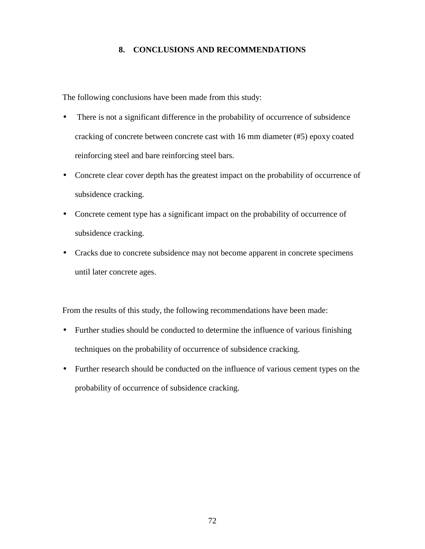# **8. CONCLUSIONS AND RECOMMENDATIONS**

The following conclusions have been made from this study:

- There is not a significant difference in the probability of occurrence of subsidence cracking of concrete between concrete cast with 16 mm diameter (#5) epoxy coated reinforcing steel and bare reinforcing steel bars.
- Concrete clear cover depth has the greatest impact on the probability of occurrence of subsidence cracking.
- Concrete cement type has a significant impact on the probability of occurrence of subsidence cracking.
- Cracks due to concrete subsidence may not become apparent in concrete specimens until later concrete ages.

From the results of this study, the following recommendations have been made:

- Further studies should be conducted to determine the influence of various finishing techniques on the probability of occurrence of subsidence cracking.
- Further research should be conducted on the influence of various cement types on the probability of occurrence of subsidence cracking.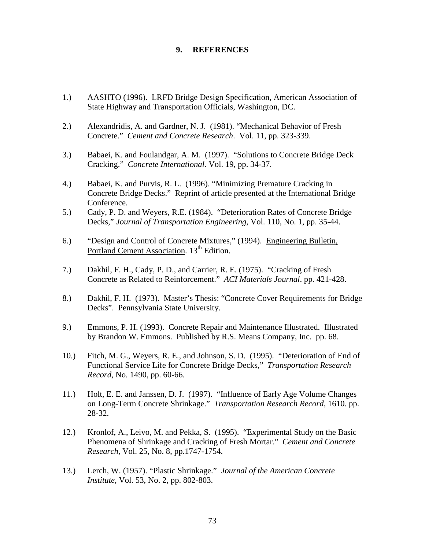## **9. REFERENCES**

- 1.) AASHTO (1996). LRFD Bridge Design Specification, American Association of State Highway and Transportation Officials, Washington, DC.
- 2.) Alexandridis, A. and Gardner, N. J. (1981). "Mechanical Behavior of Fresh Concrete." *Cement and Concrete Research*. Vol. 11, pp. 323-339.
- 3.) Babaei, K. and Foulandgar, A. M. (1997). "Solutions to Concrete Bridge Deck Cracking." *Concrete International*. Vol. 19, pp. 34-37.
- 4.) Babaei, K. and Purvis, R. L. (1996). "Minimizing Premature Cracking in Concrete Bridge Decks." Reprint of article presented at the International Bridge Conference.
- 5.) Cady, P. D. and Weyers, R.E. (1984). "Deterioration Rates of Concrete Bridge Decks," *Journal of Transportation Engineering*, Vol. 110, No. 1, pp. 35-44.
- 6.) "Design and Control of Concrete Mixtures," (1994). Engineering Bulletin, Portland Cement Association. 13<sup>th</sup> Edition.
- 7.) Dakhil, F. H., Cady, P. D., and Carrier, R. E. (1975). "Cracking of Fresh Concrete as Related to Reinforcement." *ACI Materials Journal*. pp. 421-428.
- 8.) Dakhil, F. H. (1973). Master's Thesis: "Concrete Cover Requirements for Bridge Decks". Pennsylvania State University.
- 9.) Emmons, P. H. (1993). Concrete Repair and Maintenance Illustrated. Illustrated by Brandon W. Emmons. Published by R.S. Means Company, Inc. pp. 68.
- 10.) Fitch, M. G., Weyers, R. E., and Johnson, S. D. (1995). "Deterioration of End of Functional Service Life for Concrete Bridge Decks," *Transportation Research Record*, No. 1490, pp. 60-66.
- 11.) Holt, E. E. and Janssen, D. J. (1997). "Influence of Early Age Volume Changes on Long-Term Concrete Shrinkage." *Transportation Research Record*, 1610. pp. 28-32.
- 12.) Kronlof, A., Leivo, M. and Pekka, S. (1995). "Experimental Study on the Basic Phenomena of Shrinkage and Cracking of Fresh Mortar." *Cement and Concrete Research*, Vol. 25, No. 8, pp.1747-1754.
- 13.) Lerch, W. (1957). "Plastic Shrinkage." *Journal of the American Concrete Institute*, Vol. 53, No. 2, pp. 802-803.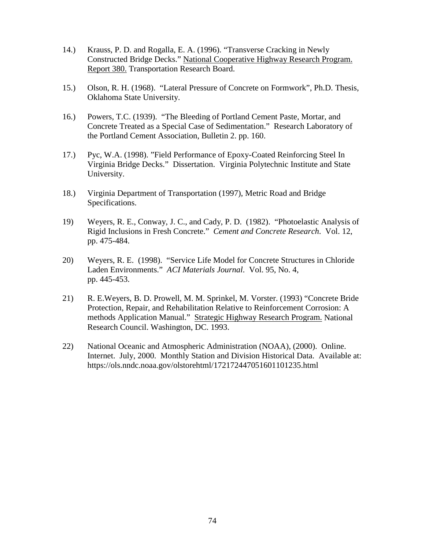- 14.) Krauss, P. D. and Rogalla, E. A. (1996). "Transverse Cracking in Newly Constructed Bridge Decks." National Cooperative Highway Research Program. Report 380. Transportation Research Board.
- 15.) Olson, R. H. (1968). "Lateral Pressure of Concrete on Formwork", Ph.D. Thesis, Oklahoma State University.
- 16.) Powers, T.C. (1939). "The Bleeding of Portland Cement Paste, Mortar, and Concrete Treated as a Special Case of Sedimentation." Research Laboratory of the Portland Cement Association, Bulletin 2. pp. 160.
- 17.) Pyc, W.A. (1998). "Field Performance of Epoxy-Coated Reinforcing Steel In Virginia Bridge Decks." Dissertation. Virginia Polytechnic Institute and State University.
- 18.) Virginia Department of Transportation (1997), Metric Road and Bridge Specifications.
- 19) Weyers, R. E., Conway, J. C., and Cady, P. D. (1982). "Photoelastic Analysis of Rigid Inclusions in Fresh Concrete." *Cement and Concrete Research*. Vol. 12, pp. 475-484.
- 20) Weyers, R. E. (1998). "Service Life Model for Concrete Structures in Chloride Laden Environments." *ACI Materials Journal*. Vol. 95, No. 4, pp. 445-453.
- 21) R. E.Weyers, B. D. Prowell, M. M. Sprinkel, M. Vorster. (1993) "Concrete Bride Protection, Repair, and Rehabilitation Relative to Reinforcement Corrosion: A methods Application Manual." Strategic Highway Research Program. National Research Council. Washington, DC. 1993.
- 22) National Oceanic and Atmospheric Administration (NOAA), (2000). Online. Internet. July, 2000. Monthly Station and Division Historical Data. Available at: https://ols.nndc.noaa.gov/olstorehtml/172172447051601101235.html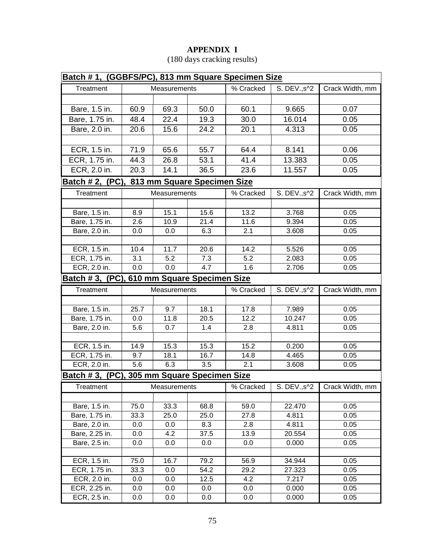# **APPENDIX I**

| Batch #1, (GGBFS/PC), 813 mm Square Specimen Size |                             |              |      |                    |              |                 |  |  |  |
|---------------------------------------------------|-----------------------------|--------------|------|--------------------|--------------|-----------------|--|--|--|
| Treatment                                         |                             | Measurements |      | % Cracked          | S. DEV., s^2 | Crack Width, mm |  |  |  |
|                                                   |                             |              |      |                    |              |                 |  |  |  |
| Bare, 1.5 in.                                     | 60.9                        | 69.3         | 50.0 | 60.1               | 9.665        | 0.07            |  |  |  |
| Bare, 1.75 in.                                    | 48.4                        | 22.4         | 19.3 | 30.0               | 16.014       | 0.05            |  |  |  |
| Bare, 2.0 in.                                     | 20.6                        | 15.6         | 24.2 | 20.1               | 4.313        | 0.05            |  |  |  |
|                                                   |                             |              |      |                    |              |                 |  |  |  |
| ECR, 1.5 in.                                      | 71.9                        | 65.6         | 55.7 | 64.4               | 8.141        | 0.06            |  |  |  |
| ECR, 1.75 in.                                     | 44.3                        | 26.8         | 53.1 | 41.4               | 13.383       | 0.05            |  |  |  |
| ECR, 2.0 in.                                      | 20.3                        | 14.1         | 36.5 | 23.6               | 11.557       | 0.05            |  |  |  |
| Batch # 2, (PC),                                  | 813 mm Square Specimen Size |              |      |                    |              |                 |  |  |  |
| Treatment                                         | Measurements                |              |      | % Cracked          | S. DEV., s^2 | Crack Width, mm |  |  |  |
|                                                   |                             |              |      |                    |              |                 |  |  |  |
| Bare, 1.5 in.                                     | 8.9                         | 15.1         | 15.6 | 13.2               | 3.768        | 0.05            |  |  |  |
| Bare, 1.75 in.                                    | 2.6                         | 10.9         | 21.4 | 11.6               | 9.394        | 0.05            |  |  |  |
| Bare, 2.0 in.                                     | 0.0                         | 0.0          | 6.3  | 2.1                | 3.608        | 0.05            |  |  |  |
|                                                   |                             |              |      |                    |              |                 |  |  |  |
| ECR, 1.5 in.                                      | 10.4                        | 11.7         | 20.6 | $\overline{1}$ 4.2 | 5.526        | 0.05            |  |  |  |
| ECR, 1.75 in.                                     | 3.1                         | 5.2          | 7.3  | 5.2                | 2.083        | 0.05            |  |  |  |
| ECR, 2.0 in.                                      | 0.0                         | 0.0          | 4.7  | 1.6                | 2.706        | 0.05            |  |  |  |
| Batch #3, (PC), 610 mm Square Specimen Size       |                             |              |      |                    |              |                 |  |  |  |
| Treatment                                         |                             | Measurements |      | % Cracked          | S. DEV., s^2 | Crack Width, mm |  |  |  |
|                                                   |                             |              |      |                    |              |                 |  |  |  |
| Bare, 1.5 in.                                     | 25.7                        | 9.7          | 18.1 | 17.8               | 7.989        | 0.05            |  |  |  |
| Bare, 1.75 in.                                    | 0.0                         | 11.8         | 20.5 | 12.2               | 10.247       | 0.05            |  |  |  |
| Bare, 2.0 in.                                     | 5.6                         | 0.7          | 1.4  | 2.8                | 4.811        | 0.05            |  |  |  |
|                                                   |                             |              |      |                    |              |                 |  |  |  |
| ECR, 1.5 in.                                      | 14.9                        | 15.3         | 15.3 | 15.2               | 0.200        | 0.05            |  |  |  |
| ECR, 1.75 in.                                     | 9.7                         | 18.1         | 16.7 | 14.8               | 4.465        | 0.05            |  |  |  |
| ECR, 2.0 in.                                      | $\overline{5.6}$            | 6.3          | 3.5  | 2.1                | 3.608        | 0.05            |  |  |  |
| Batch #3, (PC), 305 mm Square Specimen Size       |                             |              |      |                    |              |                 |  |  |  |
| Treatment                                         |                             | Measurements |      | % Cracked          | S. DEV., s^2 | Crack Width, mm |  |  |  |
|                                                   |                             |              |      |                    |              |                 |  |  |  |
| Bare, 1.5 in.                                     | 75.0                        | 33.3         | 68.8 | 59.0               | 22.470       | 0.05            |  |  |  |
| Bare, 1.75 in.                                    | 33.3                        | 25.0         | 25.0 | 27.8               | 4.811        | 0.05            |  |  |  |
| Bare, 2.0 in.                                     | 0.0                         | 0.0          | 8.3  | 2.8                | 4.811        | 0.05            |  |  |  |
| Bare, 2.25 in.                                    | 0.0                         | 4.2          | 37.5 | 13.9               | 20.554       | 0.05            |  |  |  |
| Bare, 2.5 in.                                     | 0.0                         | 0.0          | 0.0  | 0.0                | 0.000        | 0.05            |  |  |  |
| ECR, 1.5 in.                                      | 75.0                        | 16.7         | 79.2 | 56.9               | 34.944       | 0.05            |  |  |  |
| ECR, 1.75 in.                                     | 33.3                        | 0.0          | 54.2 | 29.2               | 27.323       | 0.05            |  |  |  |
| ECR, 2.0 in.                                      | 0.0                         | 0.0          | 12.5 | 4.2                | 7.217        | 0.05            |  |  |  |
| ECR, 2.25 in.                                     | 0.0                         | 0.0          | 0.0  | 0.0                | 0.000        | 0.05            |  |  |  |
| ECR, 2.5 in.                                      | 0.0                         | 0.0          | 0.0  | 0.0                | 0.000        | 0.05            |  |  |  |

# (180 days cracking results)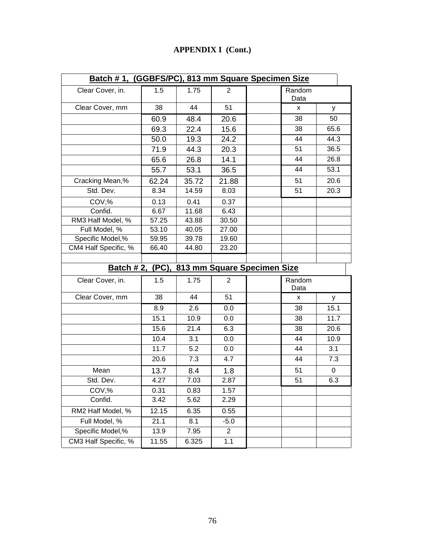# **APPENDIX I (Cont.)**

| Batch #1, (GGBFS/PC), 813 mm Square Specimen Size |       |       |                |  |                |      |  |  |
|---------------------------------------------------|-------|-------|----------------|--|----------------|------|--|--|
| Clear Cover, in.                                  | 1.5   | 1.75  | 2              |  | Random<br>Data |      |  |  |
| Clear Cover, mm                                   | 38    | 44    | 51             |  | x              | у    |  |  |
|                                                   | 60.9  | 48.4  | 20.6           |  | 38             | 50   |  |  |
|                                                   | 69.3  | 22.4  | 15.6           |  | 38             | 65.6 |  |  |
|                                                   | 50.0  | 19.3  | 24.2           |  | 44             | 44.3 |  |  |
|                                                   | 71.9  | 44.3  | 20.3           |  | 51             | 36.5 |  |  |
|                                                   | 65.6  | 26.8  | 14.1           |  | 44             | 26.8 |  |  |
|                                                   | 55.7  | 53.1  | 36.5           |  | 44             | 53.1 |  |  |
| Cracking Mean,%                                   | 62.24 | 35.72 | 21.88          |  | 51             | 20.6 |  |  |
| Std. Dev.                                         | 8.34  | 14.59 | 8.03           |  | 51             | 20.3 |  |  |
| COV,%                                             | 0.13  | 0.41  | 0.37           |  |                |      |  |  |
| Confid.                                           | 6.67  | 11.68 | 6.43           |  |                |      |  |  |
| RM3 Half Model, %                                 | 57.25 | 43.88 | 30.50          |  |                |      |  |  |
| Full Model, %                                     | 53.10 | 40.05 | 27.00          |  |                |      |  |  |
| Specific Model,%                                  | 59.95 | 39.78 | 19.60          |  |                |      |  |  |
| CM4 Half Specific, %                              | 66.40 | 44.80 | 23.20          |  |                |      |  |  |
|                                                   |       |       |                |  |                |      |  |  |
| 813 mm Square Specimen Size<br>Batch # 2, (PC),   |       |       |                |  |                |      |  |  |
|                                                   |       |       |                |  |                |      |  |  |
| Clear Cover, in.                                  | 1.5   | 1.75  | $\overline{2}$ |  | Random<br>Data |      |  |  |
| Clear Cover, mm                                   | 38    | 44    | 51             |  | X              | У    |  |  |
|                                                   | 8.9   | 2.6   | 0.0            |  | 38             | 15.1 |  |  |
|                                                   | 15.1  | 10.9  | 0.0            |  | 38             | 11.7 |  |  |
|                                                   | 15.6  | 21.4  | 6.3            |  | 38             | 20.6 |  |  |
|                                                   | 10.4  | 3.1   | 0.0            |  | 44             | 10.9 |  |  |
|                                                   | 11.7  | 5.2   | 0.0            |  | 44             | 3.1  |  |  |
|                                                   | 20.6  | 7.3   | 4.7            |  | 44             | 7.3  |  |  |
| Mean                                              | 13.7  | 8.4   | 1.8            |  | 51             | 0    |  |  |
| Std. Dev.                                         | 4.27  | 7.03  | 2.87           |  | 51             | 6.3  |  |  |
| COV,%                                             | 0.31  | 0.83  | 1.57           |  |                |      |  |  |
| Confid.                                           | 3.42  | 5.62  | 2.29           |  |                |      |  |  |
| RM2 Half Model, %                                 | 12.15 | 6.35  | 0.55           |  |                |      |  |  |
| Full Model, %                                     | 21.1  | 8.1   | $-5.0$         |  |                |      |  |  |
| Specific Model,%                                  | 13.9  | 7.95  | $\overline{2}$ |  |                |      |  |  |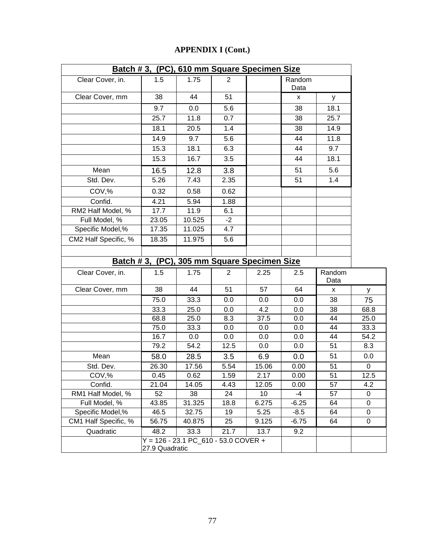| <b>APPENDIX I (Cont.)</b> |  |
|---------------------------|--|
|---------------------------|--|

|                      |                |                                        |                  | Batch #3, (PC), 610 mm Square Specimen Size |                |                 |      |
|----------------------|----------------|----------------------------------------|------------------|---------------------------------------------|----------------|-----------------|------|
| Clear Cover, in.     | 1.5            | 1.75                                   | $\overline{2}$   |                                             | Random<br>Data |                 |      |
| Clear Cover, mm      | 38             | 44                                     | 51               |                                             | X              | У               |      |
|                      | 9.7            | 0.0                                    | 5.6              |                                             | 38             | 18.1            |      |
|                      | 25.7           | 11.8                                   | 0.7              |                                             | 38             | 25.7            |      |
|                      | 18.1           | 20.5                                   | 1.4              |                                             | 38             | 14.9            |      |
|                      | 14.9           | 9.7                                    | 5.6              |                                             | 44             | 11.8            |      |
|                      | 15.3           | 18.1                                   | 6.3              |                                             | 44             | 9.7             |      |
|                      | 15.3           | 16.7                                   | $\overline{3.5}$ |                                             | 44             | 18.1            |      |
| Mean                 | 16.5           | 12.8                                   | 3.8              |                                             | 51             | 5.6             |      |
| Std. Dev.            | 5.26           | 7.43                                   | 2.35             |                                             | 51             | 1.4             |      |
| COV,%                | 0.32           | 0.58                                   | 0.62             |                                             |                |                 |      |
| Confid.              | 4.21           | 5.94                                   | 1.88             |                                             |                |                 |      |
| RM2 Half Model, %    | 17.7           | 11.9                                   | 6.1              |                                             |                |                 |      |
| Full Model, %        | 23.05          | 10.525                                 | $-2$             |                                             |                |                 |      |
| Specific Model,%     | 17.35          | 11.025                                 | 4.7              |                                             |                |                 |      |
| CM2 Half Specific, % | 18.35          | 11.975                                 | 5.6              |                                             |                |                 |      |
|                      |                |                                        |                  |                                             |                |                 |      |
|                      |                |                                        |                  | Batch #3, (PC), 305 mm Square Specimen Size |                |                 |      |
| Clear Cover, in.     | 1.5            | 1.75                                   | $\overline{2}$   | 2.25                                        | 2.5            | Random<br>Data  |      |
| Clear Cover, mm      | 38             | 44                                     | 51               | 57                                          | 64             | x               | У    |
|                      | 75.0           | 33.3                                   | 0.0              | 0.0                                         | 0.0            | 38              | 75   |
|                      | 33.3           | 25.0                                   | 0.0              | 4.2                                         | 0.0            | 38              | 68.8 |
|                      | 68.8           | 25.0                                   | 8.3              | 37.5                                        | 0.0            | 44              | 25.0 |
|                      | 75.0           | 33.3                                   | 0.0              | 0.0                                         | 0.0            | 44              | 33.3 |
|                      | 16.7           | 0.0                                    | 0.0              | 0.0                                         | 0.0            | 44              | 54.2 |
|                      | 79.2           | 54.2                                   | 12.5             | 0.0                                         | 0.0            | 51              | 8.3  |
| Mean                 | 58.0           | 28.5                                   | 3.5              | 6.9                                         | 0.0            | 51              | 0.0  |
| Std. Dev.            | 26.30          | 17.56                                  | 5.54             | 15.06                                       | 0.00           | 51              | 0    |
| COV,%                | 0.45           | 0.62                                   | 1.59             | 2.17                                        | 0.00           | $\overline{51}$ | 12.5 |
| Confid.              | 21.04          | 14.05                                  | 4.43             | 12.05                                       | 0.00           | 57              | 4.2  |
| RM1 Half Model, %    | 52             | 38                                     | 24               | 10                                          | -4             | 57              | 0    |
| Full Model, %        | 43.85          | 31.325                                 | 18.8             | 6.275                                       | $-6.25$        | 64              | 0    |
| Specific Model,%     | 46.5           | 32.75                                  | 19               | 5.25                                        | $-8.5$         | 64              | 0    |
| CM1 Half Specific, % | 56.75          | 40.875                                 | 25               | 9.125                                       | $-6.75$        | 64              | 0    |
| Quadratic            | 48.2           | 33.3                                   | 21.7             | 13.7                                        | 9.2            |                 |      |
|                      | 27.9 Quadratic | $Y = 126 - 23.1 PC_610 - 53.0 COVER +$ |                  |                                             |                |                 |      |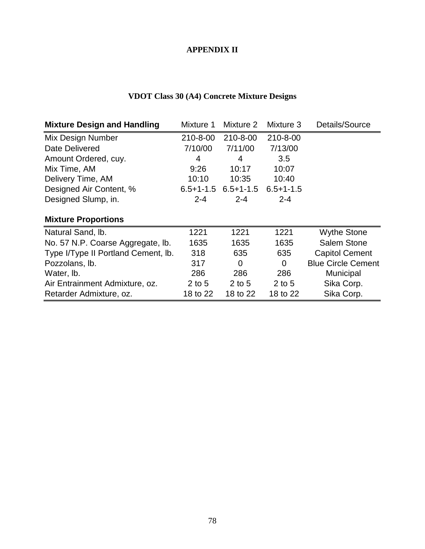# **APPENDIX II**

# **VDOT Class 30 (A4) Concrete Mixture Designs**

| <b>Mixture Design and Handling</b>  | Mixture 1 | Mixture 2               | Mixture 3       | Details/Source            |
|-------------------------------------|-----------|-------------------------|-----------------|---------------------------|
| Mix Design Number                   | 210-8-00  | 210-8-00                | 210-8-00        |                           |
| Date Delivered                      | 7/10/00   | 7/11/00                 | 7/13/00         |                           |
| Amount Ordered, cuy.                | 4         | 4                       | 3.5             |                           |
| Mix Time, AM                        | 9:26      | 10:17                   | 10:07           |                           |
| Delivery Time, AM                   | 10:10     | 10:35                   | 10:40           |                           |
| Designed Air Content, %             |           | $6.5+1-1.5$ $6.5+1-1.5$ | $6.5 + 1 - 1.5$ |                           |
| Designed Slump, in.                 | $2 - 4$   | $2 - 4$                 | $2 - 4$         |                           |
| <b>Mixture Proportions</b>          |           |                         |                 |                           |
| Natural Sand, Ib.                   | 1221      | 1221                    | 1221            | <b>Wythe Stone</b>        |
| No. 57 N.P. Coarse Aggregate, lb.   | 1635      | 1635                    | 1635            | Salem Stone               |
| Type I/Type II Portland Cement, Ib. | 318       | 635                     | 635             | <b>Capitol Cement</b>     |
| Pozzolans, lb.                      | 317       | 0                       | $\overline{0}$  | <b>Blue Circle Cement</b> |
| Water, lb.                          | 286       | 286                     | 286             | Municipal                 |
| Air Entrainment Admixture, oz.      | $2$ to 5  | $2$ to 5                | $2$ to 5        | Sika Corp.                |
| Retarder Admixture, oz.             | 18 to 22  | 18 to 22                | 18 to 22        | Sika Corp.                |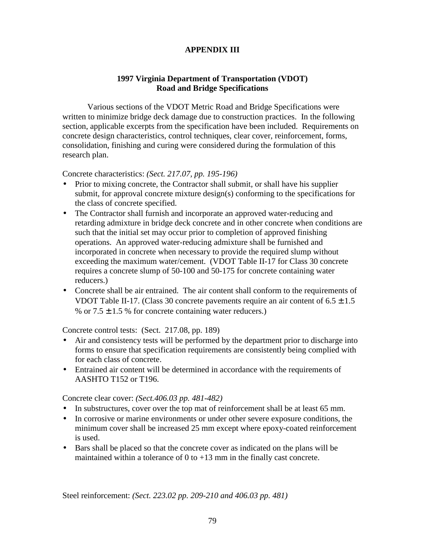# **APPENDIX III**

# **1997 Virginia Department of Transportation (VDOT) Road and Bridge Specifications**

 Various sections of the VDOT Metric Road and Bridge Specifications were written to minimize bridge deck damage due to construction practices. In the following section, applicable excerpts from the specification have been included. Requirements on concrete design characteristics, control techniques, clear cover, reinforcement, forms, consolidation, finishing and curing were considered during the formulation of this research plan.

Concrete characteristics: *(Sect. 217.07, pp. 195-196)*

- Prior to mixing concrete, the Contractor shall submit, or shall have his supplier submit, for approval concrete mixture design(s) conforming to the specifications for the class of concrete specified.
- The Contractor shall furnish and incorporate an approved water-reducing and retarding admixture in bridge deck concrete and in other concrete when conditions are such that the initial set may occur prior to completion of approved finishing operations. An approved water-reducing admixture shall be furnished and incorporated in concrete when necessary to provide the required slump without exceeding the maximum water/cement. (VDOT Table II-17 for Class 30 concrete requires a concrete slump of 50-100 and 50-175 for concrete containing water reducers.)
- Concrete shall be air entrained. The air content shall conform to the requirements of VDOT Table II-17. (Class 30 concrete pavements require an air content of  $6.5 \pm 1.5$ % or  $7.5 \pm 1.5$  % for concrete containing water reducers.)

Concrete control tests: (Sect. 217.08, pp. 189)

- Air and consistency tests will be performed by the department prior to discharge into forms to ensure that specification requirements are consistently being complied with for each class of concrete.
- Entrained air content will be determined in accordance with the requirements of AASHTO T152 or T196.

Concrete clear cover: *(Sect.406.03 pp. 481-482)*

- In substructures, cover over the top mat of reinforcement shall be at least 65 mm.
- In corrosive or marine environments or under other severe exposure conditions, the minimum cover shall be increased 25 mm except where epoxy-coated reinforcement is used.
- Bars shall be placed so that the concrete cover as indicated on the plans will be maintained within a tolerance of  $0$  to  $+13$  mm in the finally cast concrete.

Steel reinforcement: *(Sect. 223.02 pp. 209-210 and 406.03 pp. 481)*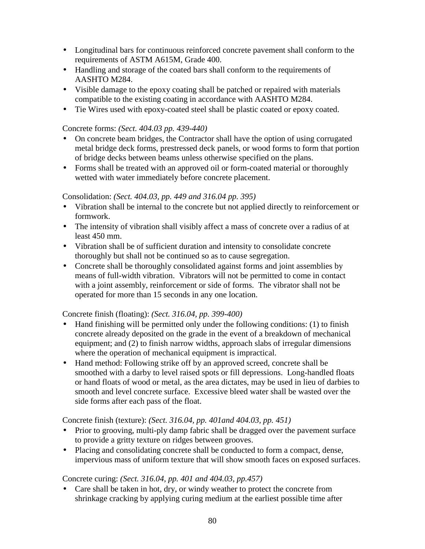- Longitudinal bars for continuous reinforced concrete pavement shall conform to the requirements of ASTM A615M, Grade 400.
- Handling and storage of the coated bars shall conform to the requirements of AASHTO M284.
- Visible damage to the epoxy coating shall be patched or repaired with materials compatible to the existing coating in accordance with AASHTO M284.
- Tie Wires used with epoxy-coated steel shall be plastic coated or epoxy coated.

# Concrete forms: *(Sect. 404.03 pp. 439-440)*

- On concrete beam bridges, the Contractor shall have the option of using corrugated metal bridge deck forms, prestressed deck panels, or wood forms to form that portion of bridge decks between beams unless otherwise specified on the plans.
- Forms shall be treated with an approved oil or form-coated material or thoroughly wetted with water immediately before concrete placement.

# Consolidation: *(Sect. 404.03, pp. 449 and 316.04 pp. 395)*

- Vibration shall be internal to the concrete but not applied directly to reinforcement or formwork.
- The intensity of vibration shall visibly affect a mass of concrete over a radius of at least 450 mm.
- Vibration shall be of sufficient duration and intensity to consolidate concrete thoroughly but shall not be continued so as to cause segregation.
- Concrete shall be thoroughly consolidated against forms and joint assemblies by means of full-width vibration. Vibrators will not be permitted to come in contact with a joint assembly, reinforcement or side of forms. The vibrator shall not be operated for more than 15 seconds in any one location.

# Concrete finish (floating): *(Sect. 316.04, pp. 399-400)*

- Hand finishing will be permitted only under the following conditions: (1) to finish concrete already deposited on the grade in the event of a breakdown of mechanical equipment; and (2) to finish narrow widths, approach slabs of irregular dimensions where the operation of mechanical equipment is impractical.
- Hand method: Following strike off by an approved screed, concrete shall be smoothed with a darby to level raised spots or fill depressions. Long-handled floats or hand floats of wood or metal, as the area dictates, may be used in lieu of darbies to smooth and level concrete surface. Excessive bleed water shall be wasted over the side forms after each pass of the float.

Concrete finish (texture): *(Sect. 316.04, pp. 401and 404.03, pp. 451)* 

- Prior to grooving, multi-ply damp fabric shall be dragged over the pavement surface to provide a gritty texture on ridges between grooves.
- Placing and consolidating concrete shall be conducted to form a compact, dense, impervious mass of uniform texture that will show smooth faces on exposed surfaces.

# Concrete curing: *(Sect. 316.04, pp. 401 and 404.03, pp.457)*

• Care shall be taken in hot, dry, or windy weather to protect the concrete from shrinkage cracking by applying curing medium at the earliest possible time after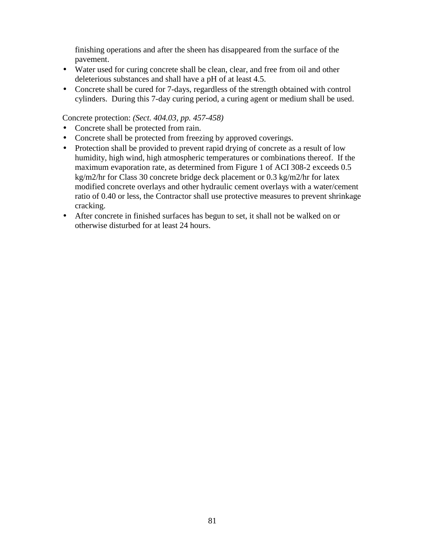finishing operations and after the sheen has disappeared from the surface of the pavement.

- Water used for curing concrete shall be clean, clear, and free from oil and other deleterious substances and shall have a pH of at least 4.5.
- Concrete shall be cured for 7-days, regardless of the strength obtained with control cylinders. During this 7-day curing period, a curing agent or medium shall be used.

Concrete protection: *(Sect. 404.03, pp. 457-458)*

- Concrete shall be protected from rain.
- Concrete shall be protected from freezing by approved coverings.
- Protection shall be provided to prevent rapid drying of concrete as a result of low humidity, high wind, high atmospheric temperatures or combinations thereof. If the maximum evaporation rate, as determined from Figure 1 of ACI 308-2 exceeds 0.5 kg/m2/hr for Class 30 concrete bridge deck placement or 0.3 kg/m2/hr for latex modified concrete overlays and other hydraulic cement overlays with a water/cement ratio of 0.40 or less, the Contractor shall use protective measures to prevent shrinkage cracking.
- After concrete in finished surfaces has begun to set, it shall not be walked on or otherwise disturbed for at least 24 hours.